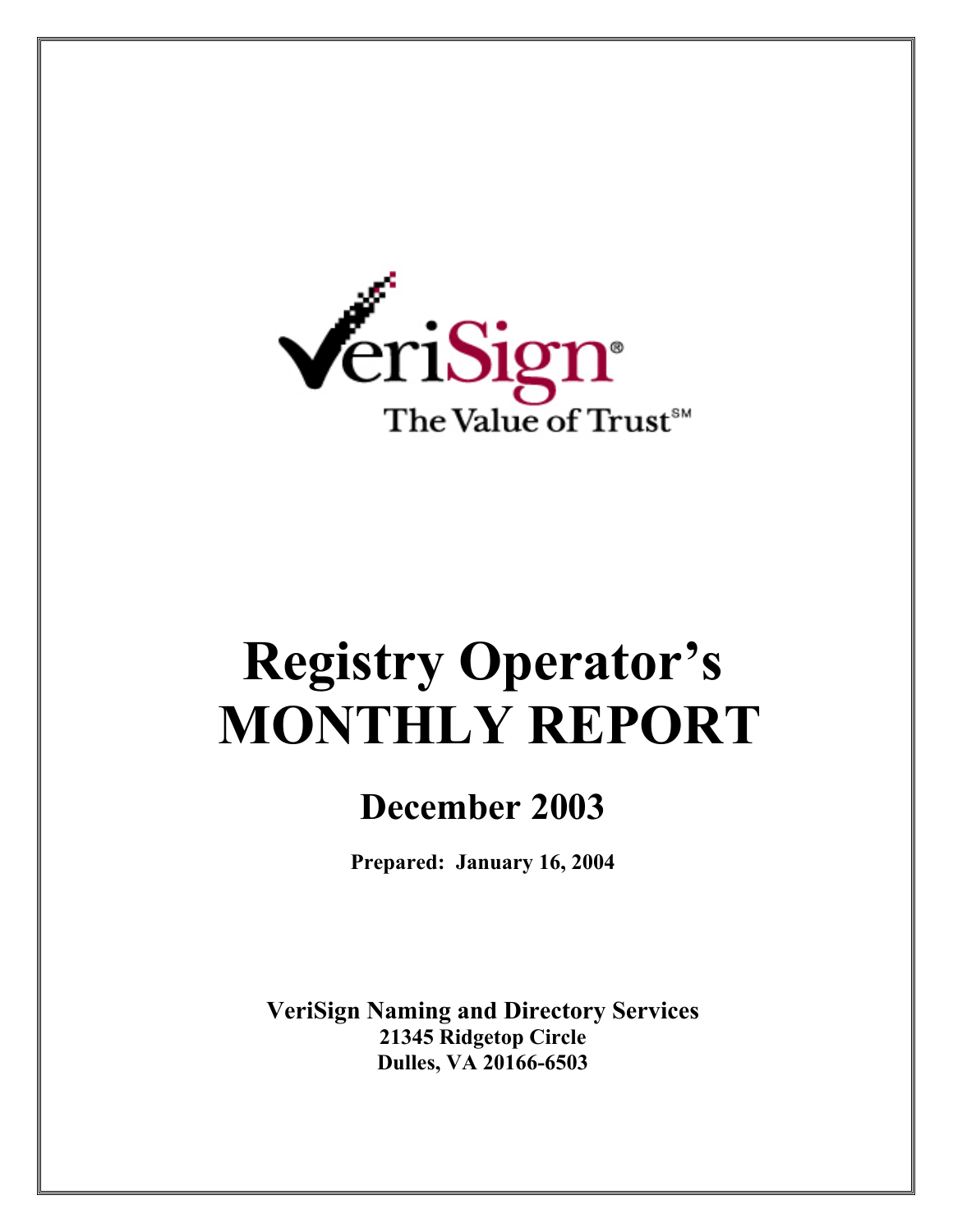

# **Registry Operator's MONTHLY REPORT**

# **December 2003**

**Prepared: January 16, 2004** 

**VeriSign Naming and Directory Services 21345 Ridgetop Circle Dulles, VA 20166-6503**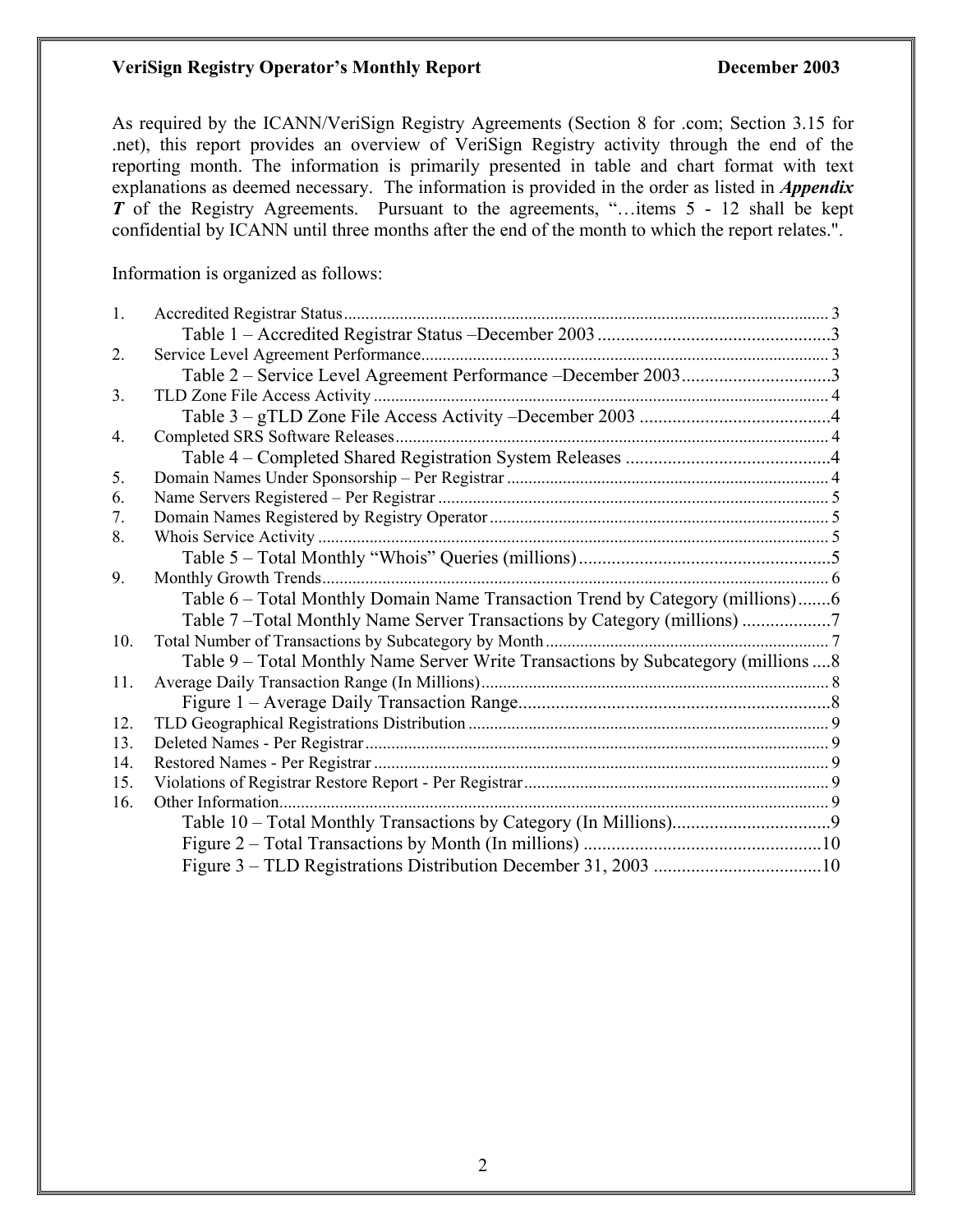#### **VeriSign Registry Operator's Monthly Report December 2003**

As required by the ICANN/VeriSign Registry Agreements (Section 8 for .com; Section 3.15 for .net), this report provides an overview of VeriSign Registry activity through the end of the reporting month. The information is primarily presented in table and chart format with text explanations as deemed necessary. The information is provided in the order as listed in *Appendix T* of the Registry Agreements. Pursuant to the agreements, "...items 5 - 12 shall be kept confidential by ICANN until three months after the end of the month to which the report relates.".

Information is organized as follows:

| 1.             |                                                                                     |  |
|----------------|-------------------------------------------------------------------------------------|--|
|                |                                                                                     |  |
| 2.             |                                                                                     |  |
|                | Table 2 - Service Level Agreement Performance - December 20033                      |  |
| 3 <sub>1</sub> |                                                                                     |  |
|                |                                                                                     |  |
| 4.             |                                                                                     |  |
|                |                                                                                     |  |
| 5.             |                                                                                     |  |
| 6.             |                                                                                     |  |
| 7.             |                                                                                     |  |
| 8.             |                                                                                     |  |
|                |                                                                                     |  |
| 9.             |                                                                                     |  |
|                | Table 6 – Total Monthly Domain Name Transaction Trend by Category (millions)6       |  |
|                | Table 7-Total Monthly Name Server Transactions by Category (millions)               |  |
| 10.            |                                                                                     |  |
|                | Table 9 – Total Monthly Name Server Write Transactions by Subcategory (millions  8) |  |
| 11.            |                                                                                     |  |
|                |                                                                                     |  |
| 12.            |                                                                                     |  |
| 13.            |                                                                                     |  |
| 14.            |                                                                                     |  |
| 15.            |                                                                                     |  |
| 16.            |                                                                                     |  |
|                |                                                                                     |  |
|                |                                                                                     |  |
|                |                                                                                     |  |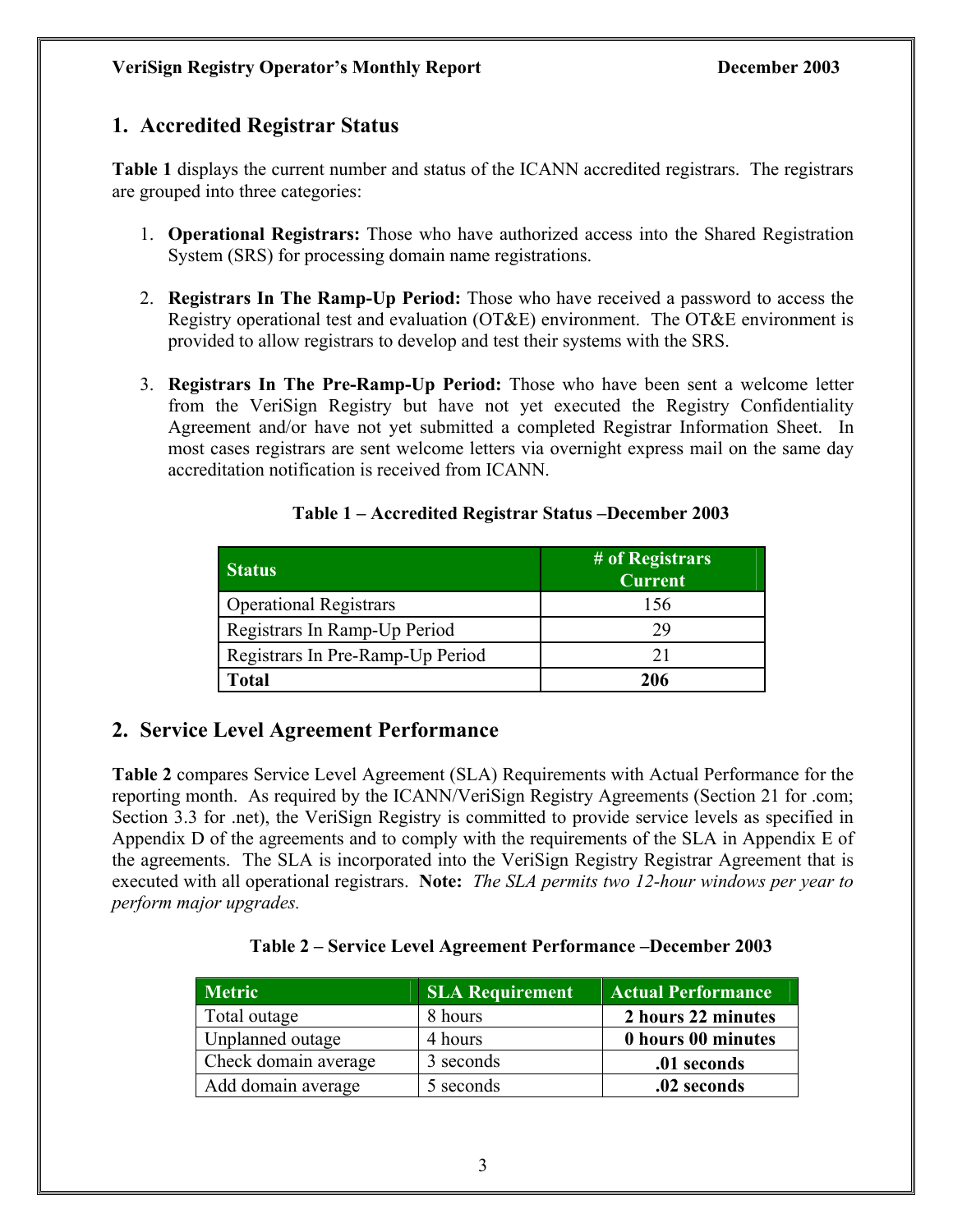## **1. Accredited Registrar Status**

**Table 1** displays the current number and status of the ICANN accredited registrars. The registrars are grouped into three categories:

- 1. **Operational Registrars:** Those who have authorized access into the Shared Registration System (SRS) for processing domain name registrations.
- 2. **Registrars In The Ramp-Up Period:** Those who have received a password to access the Registry operational test and evaluation (OT&E) environment. The OT&E environment is provided to allow registrars to develop and test their systems with the SRS.
- 3. **Registrars In The Pre-Ramp-Up Period:** Those who have been sent a welcome letter from the VeriSign Registry but have not yet executed the Registry Confidentiality Agreement and/or have not yet submitted a completed Registrar Information Sheet. In most cases registrars are sent welcome letters via overnight express mail on the same day accreditation notification is received from ICANN.

| <b>Status</b>                    | # of Registrars<br><b>Current</b> |
|----------------------------------|-----------------------------------|
| <b>Operational Registrars</b>    | 156                               |
| Registrars In Ramp-Up Period     | 29                                |
| Registrars In Pre-Ramp-Up Period | 21                                |
| <b>Total</b>                     | 206                               |

#### **Table 1 – Accredited Registrar Status –December 2003**

## **2. Service Level Agreement Performance**

**Table 2** compares Service Level Agreement (SLA) Requirements with Actual Performance for the reporting month. As required by the ICANN/VeriSign Registry Agreements (Section 21 for .com; Section 3.3 for .net), the VeriSign Registry is committed to provide service levels as specified in Appendix D of the agreements and to comply with the requirements of the SLA in Appendix E of the agreements. The SLA is incorporated into the VeriSign Registry Registrar Agreement that is executed with all operational registrars. **Note:** *The SLA permits two 12-hour windows per year to perform major upgrades.* 

#### **Table 2 – Service Level Agreement Performance –December 2003**

| <b>Metric</b>        | <b>SLA Requirement</b> | <b>Actual Performance</b> |
|----------------------|------------------------|---------------------------|
| Total outage         | 8 hours                | 2 hours 22 minutes        |
| Unplanned outage     | 4 hours                | 0 hours 00 minutes        |
| Check domain average | 3 seconds              | .01 seconds               |
| Add domain average   | 5 seconds              | .02 seconds               |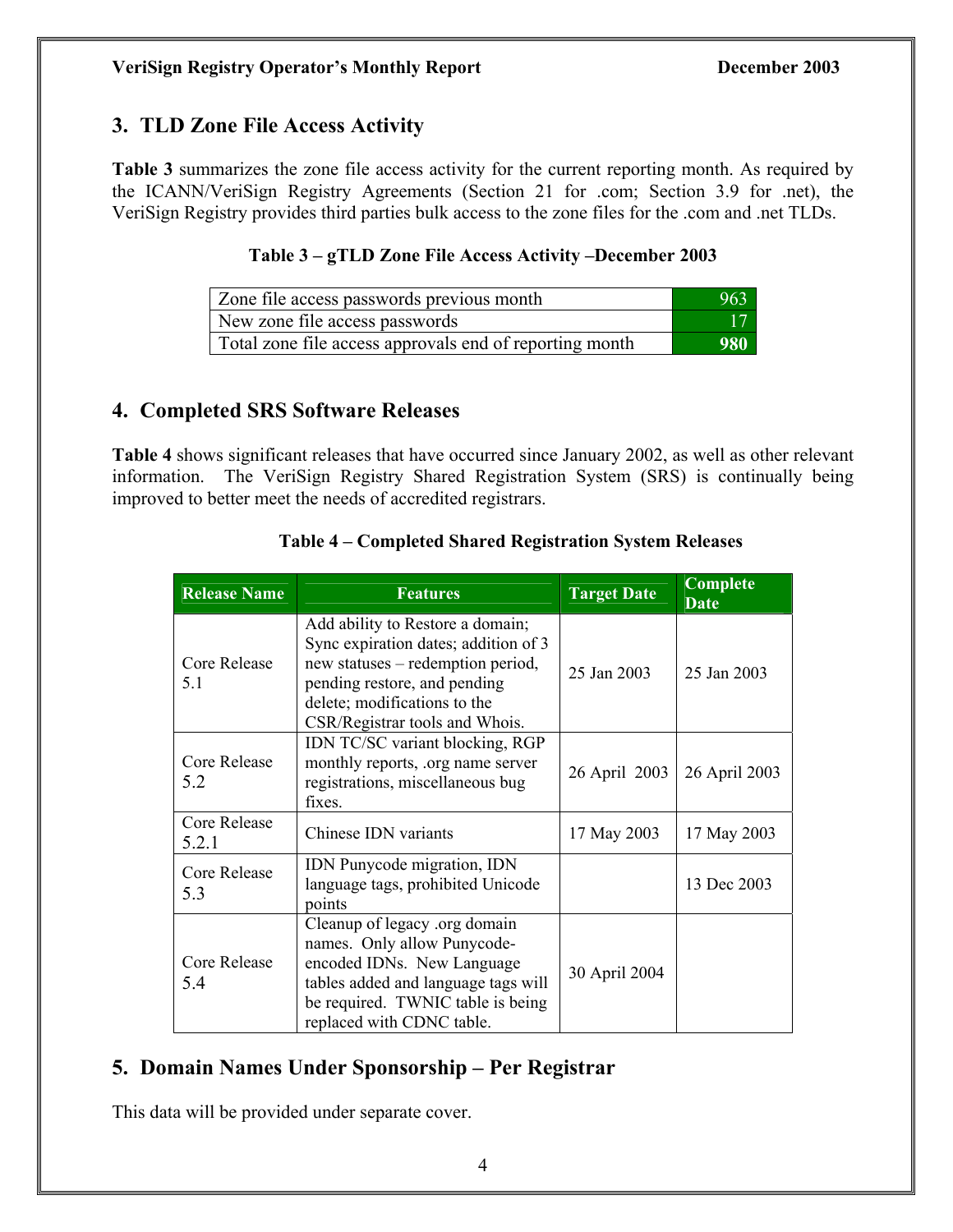# **3. TLD Zone File Access Activity**

**Table 3** summarizes the zone file access activity for the current reporting month. As required by the ICANN/VeriSign Registry Agreements (Section 21 for .com; Section 3.9 for .net), the VeriSign Registry provides third parties bulk access to the zone files for the .com and .net TLDs.

#### **Table 3 – gTLD Zone File Access Activity –December 2003**

| Zone file access passwords previous month               | -963       |
|---------------------------------------------------------|------------|
| New zone file access passwords                          |            |
| Total zone file access approvals end of reporting month | <b>980</b> |

#### **4. Completed SRS Software Releases**

**Table 4** shows significant releases that have occurred since January 2002, as well as other relevant information. The VeriSign Registry Shared Registration System (SRS) is continually being improved to better meet the needs of accredited registrars.

| <b>Release Name</b>   | <b>Features</b>                                                                                                                                                                                                 | <b>Target Date</b> | <b>Complete</b><br><b>Date</b> |
|-----------------------|-----------------------------------------------------------------------------------------------------------------------------------------------------------------------------------------------------------------|--------------------|--------------------------------|
| Core Release<br>5.1   | Add ability to Restore a domain;<br>Sync expiration dates; addition of 3<br>new statuses – redemption period,<br>pending restore, and pending<br>delete; modifications to the<br>CSR/Registrar tools and Whois. | 25 Jan 2003        | 25 Jan 2003                    |
| Core Release<br>5.2   | IDN TC/SC variant blocking, RGP<br>monthly reports, org name server<br>registrations, miscellaneous bug<br>fixes.                                                                                               | 26 April 2003      | 26 April 2003                  |
| Core Release<br>5.2.1 | Chinese IDN variants                                                                                                                                                                                            | 17 May 2003        | 17 May 2003                    |
| Core Release<br>5.3   | <b>IDN</b> Punycode migration, <b>IDN</b><br>language tags, prohibited Unicode<br>points                                                                                                                        |                    | 13 Dec 2003                    |
| Core Release<br>5.4   | Cleanup of legacy .org domain<br>names. Only allow Punycode-<br>encoded IDNs. New Language<br>tables added and language tags will<br>be required. TWNIC table is being<br>replaced with CDNC table.             | 30 April 2004      |                                |

#### **Table 4 – Completed Shared Registration System Releases**

# **5. Domain Names Under Sponsorship – Per Registrar**

This data will be provided under separate cover.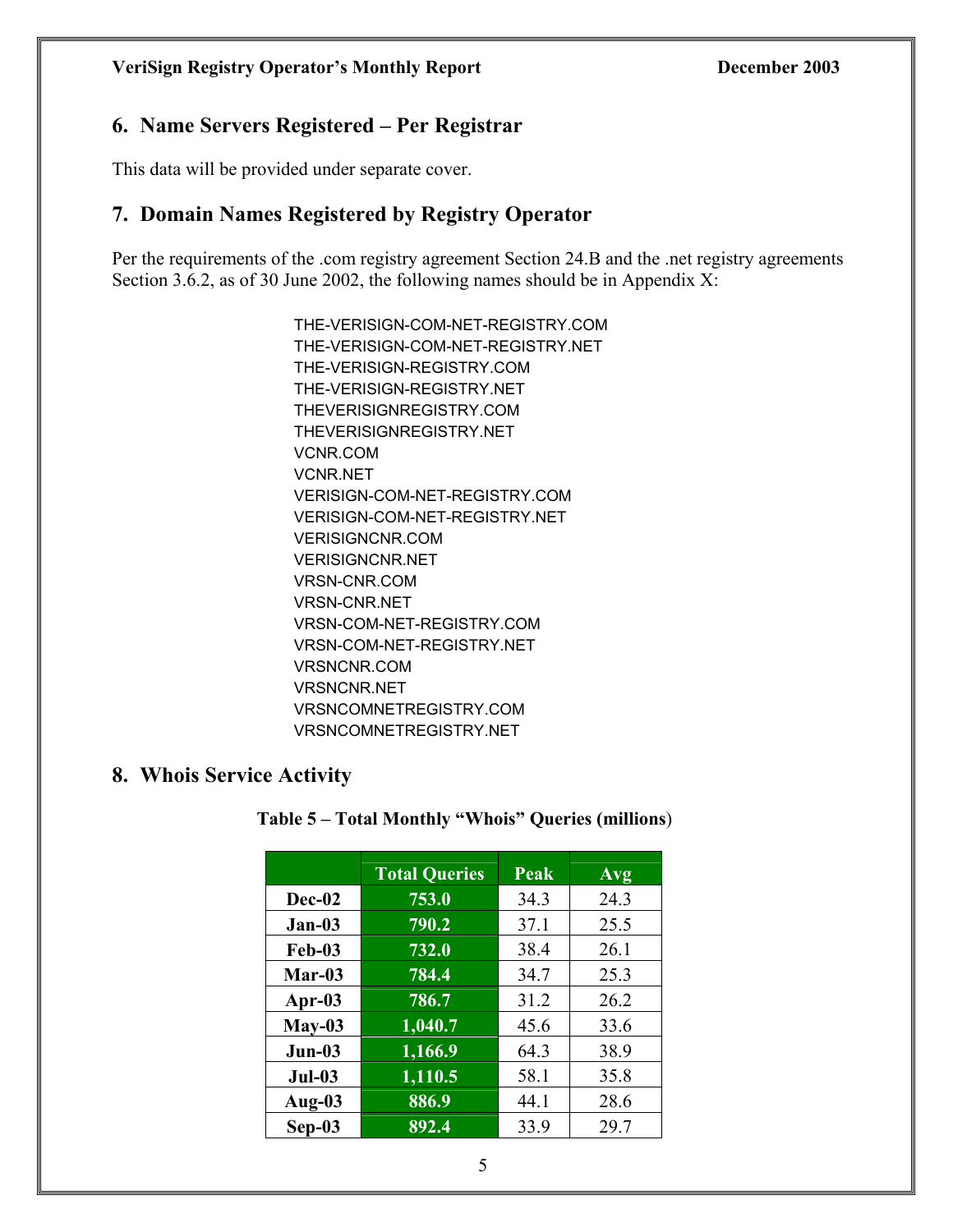#### **6. Name Servers Registered – Per Registrar**

This data will be provided under separate cover.

#### **7. Domain Names Registered by Registry Operator**

Per the requirements of the .com registry agreement Section 24.B and the .net registry agreements Section 3.6.2, as of 30 June 2002, the following names should be in Appendix X:

> THE-VERISIGN-COM-NET-REGISTRY.COM THE-VERISIGN-COM-NET-REGISTRY.NET THE-VERISIGN-REGISTRY.COM THE-VERISIGN-REGISTRY.NET THEVERISIGNREGISTRY.COM THEVERISIGNREGISTRY.NET VCNR.COM VCNR.NET VERISIGN-COM-NET-REGISTRY.COM VERISIGN-COM-NET-REGISTRY.NET VERISIGNCNR.COM VERISIGNCNR.NET VRSN-CNR.COM VRSN-CNR.NET VRSN-COM-NET-REGISTRY.COM VRSN-COM-NET-REGISTRY.NET VRSNCNR.COM VRSNCNR.NET VRSNCOMNETREGISTRY.COM VRSNCOMNETREGISTRY.NET

#### **8. Whois Service Activity**

#### **Table 5 – Total Monthly "Whois" Queries (millions**)

|               | <b>Total Queries</b> | Peak | Avg  |
|---------------|----------------------|------|------|
| Dec-02        | 753.0                | 34.3 | 24.3 |
| $Jan-03$      | 790.2                | 37.1 | 25.5 |
| <b>Feb-03</b> | 732.0                | 38.4 | 26.1 |
| $Mar-03$      | 784.4                | 34.7 | 25.3 |
| Apr- $03$     | 786.7                | 31.2 | 26.2 |
| $May-03$      | 1,040.7              | 45.6 | 33.6 |
| $Jun-03$      | 1,166.9              | 64.3 | 38.9 |
| $Jul-03$      | $\overline{1,110.5}$ | 58.1 | 35.8 |
| Aug- $03$     | 886.9                | 44.1 | 28.6 |
| $Sep-03$      | 892.4                | 33.9 | 29.7 |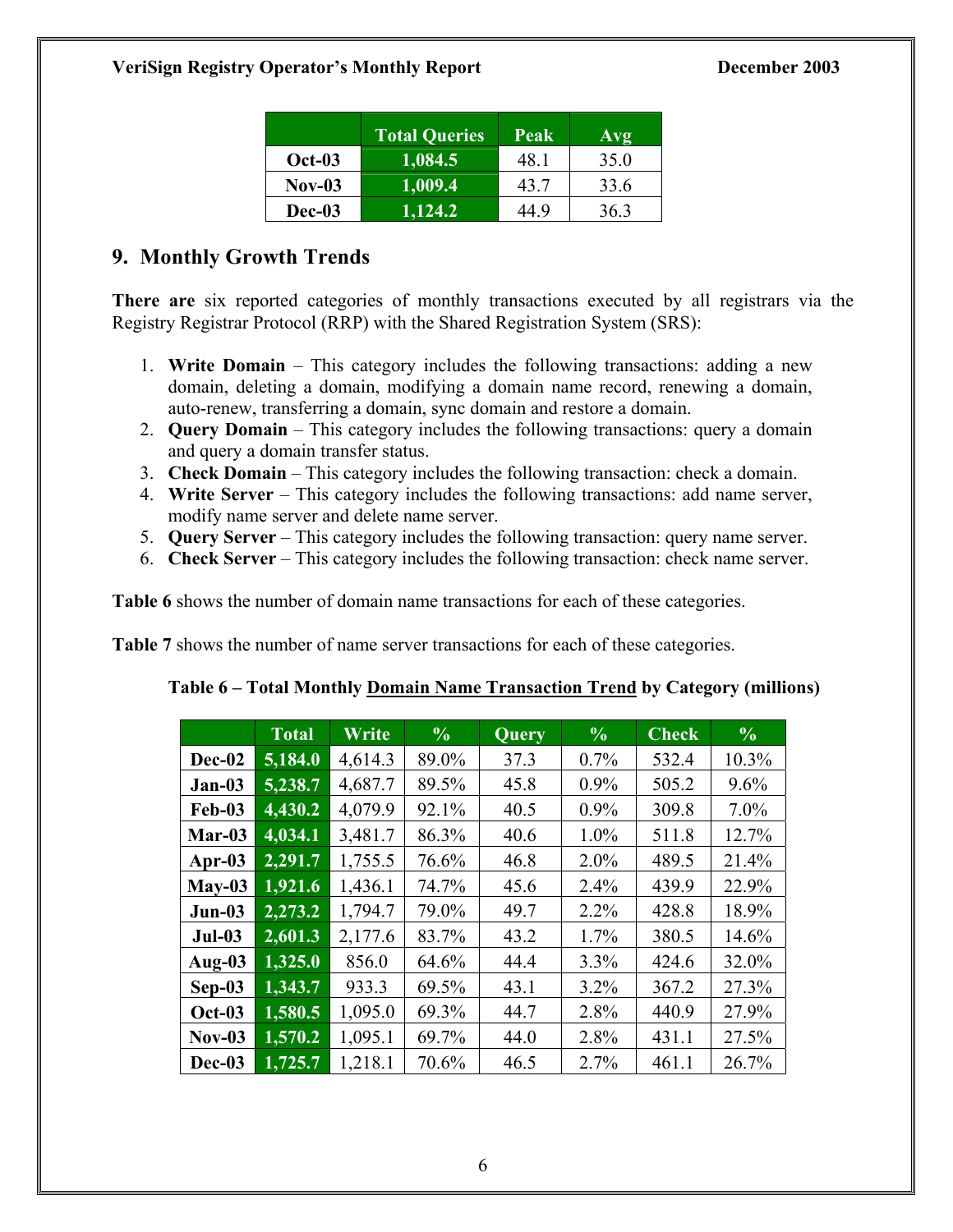|          | <b>Total Queries</b> | Peak | Avg  |
|----------|----------------------|------|------|
| $Oct-03$ | 1,084.5              | 481  | 35.0 |
| $Nov-03$ | 1,009.4              | 43.7 | 33.6 |
| Dec-03   | 1,124.2              | 44 9 | 363  |

# **9. Monthly Growth Trends**

**There are** six reported categories of monthly transactions executed by all registrars via the Registry Registrar Protocol (RRP) with the Shared Registration System (SRS):

- 1. **Write Domain**  This category includes the following transactions: adding a new domain, deleting a domain, modifying a domain name record, renewing a domain, auto-renew, transferring a domain, sync domain and restore a domain.
- 2. **Query Domain** This category includes the following transactions: query a domain and query a domain transfer status.
- 3. **Check Domain** This category includes the following transaction: check a domain.
- 4. **Write Server** This category includes the following transactions: add name server, modify name server and delete name server.
- 5. **Query Server** This category includes the following transaction: query name server.
- 6. **Check Server**  This category includes the following transaction: check name server.

**Table 6** shows the number of domain name transactions for each of these categories.

**Table 7** shows the number of name server transactions for each of these categories.

|               | <b>Total</b> | Write   | $\frac{0}{0}$ | <b>Query</b> | $\frac{6}{6}$ | <b>Check</b> | $\frac{0}{0}$ |
|---------------|--------------|---------|---------------|--------------|---------------|--------------|---------------|
| Dec-02        | 5,184.0      | 4,614.3 | 89.0%         | 37.3         | 0.7%          | 532.4        | 10.3%         |
| $Jan-03$      | 5,238.7      | 4,687.7 | 89.5%         | 45.8         | $0.9\%$       | 505.2        | 9.6%          |
| <b>Feb-03</b> | 4,430.2      | 4,079.9 | 92.1%         | 40.5         | 0.9%          | 309.8        | $7.0\%$       |
| Mar-03        | 4,034.1      | 3,481.7 | 86.3%         | 40.6         | 1.0%          | 511.8        | 12.7%         |
| Apr- $03$     | 2,291.7      | 1,755.5 | 76.6%         | 46.8         | $2.0\%$       | 489.5        | 21.4%         |
| $May-03$      | 1,921.6      | 1,436.1 | 74.7%         | 45.6         | 2.4%          | 439.9        | 22.9%         |
| $Jun-03$      | 2,273.2      | 1,794.7 | 79.0%         | 49.7         | 2.2%          | 428.8        | 18.9%         |
| $Jul-03$      | 2,601.3      | 2,177.6 | 83.7%         | 43.2         | 1.7%          | 380.5        | 14.6%         |
| Aug- $03$     | 1,325.0      | 856.0   | 64.6%         | 44.4         | 3.3%          | 424.6        | 32.0%         |
| $Sep-03$      | 1,343.7      | 933.3   | 69.5%         | 43.1         | $3.2\%$       | 367.2        | 27.3%         |
| <b>Oct-03</b> | 1,580.5      | 1,095.0 | 69.3%         | 44.7         | 2.8%          | 440.9        | 27.9%         |
| <b>Nov-03</b> | 1,570.2      | 1,095.1 | 69.7%         | 44.0         | 2.8%          | 431.1        | 27.5%         |
| Dec-03        | 1,725.7      | 1,218.1 | 70.6%         | 46.5         | 2.7%          | 461.1        | 26.7%         |

# **Table 6 – Total Monthly Domain Name Transaction Trend by Category (millions)**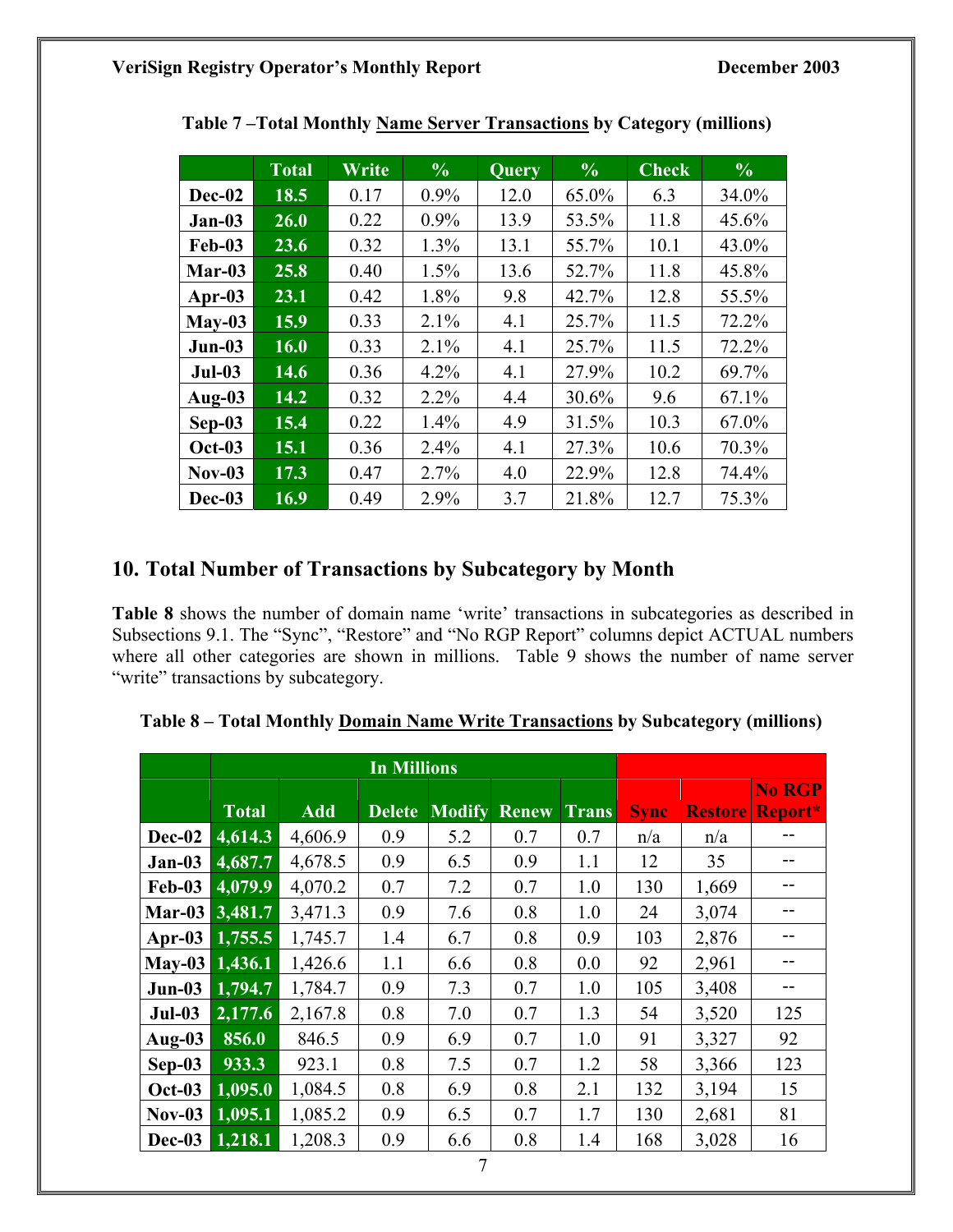|               | <b>Total</b> | Write | $\frac{0}{0}$ | Query | $\frac{0}{0}$ | $\overline{\mathbf{Check}}$ | $\frac{6}{6}$ |
|---------------|--------------|-------|---------------|-------|---------------|-----------------------------|---------------|
| Dec-02        | 18.5         | 0.17  | $0.9\%$       | 12.0  | 65.0%         | 6.3                         | 34.0%         |
| $Jan-03$      | 26.0         | 0.22  | $0.9\%$       | 13.9  | 53.5%         | 11.8                        | 45.6%         |
| <b>Feb-03</b> | 23.6         | 0.32  | 1.3%          | 13.1  | 55.7%         | 10.1                        | 43.0%         |
| $Mar-03$      | 25.8         | 0.40  | 1.5%          | 13.6  | 52.7%         | 11.8                        | 45.8%         |
| Apr- $03$     | 23.1         | 0.42  | 1.8%          | 9.8   | 42.7%         | 12.8                        | 55.5%         |
| $May-03$      | 15.9         | 0.33  | 2.1%          | 4.1   | 25.7%         | 11.5                        | 72.2%         |
| $Jun-03$      | 16.0         | 0.33  | 2.1%          | 4.1   | 25.7%         | 11.5                        | 72.2%         |
| $Jul-03$      | 14.6         | 0.36  | 4.2%          | 4.1   | 27.9%         | 10.2                        | 69.7%         |
| Aug-03        | 14.2         | 0.32  | 2.2%          | 4.4   | 30.6%         | 9.6                         | 67.1%         |
| Sep-03        | 15.4         | 0.22  | 1.4%          | 4.9   | 31.5%         | 10.3                        | 67.0%         |
| <b>Oct-03</b> | 15.1         | 0.36  | 2.4%          | 4.1   | 27.3%         | 10.6                        | 70.3%         |
| $Nov-03$      | 17.3         | 0.47  | 2.7%          | 4.0   | 22.9%         | 12.8                        | 74.4%         |
| Dec-03        | 16.9         | 0.49  | 2.9%          | 3.7   | 21.8%         | 12.7                        | 75.3%         |

 **Table 7 –Total Monthly Name Server Transactions by Category (millions)** 

## **10. Total Number of Transactions by Subcategory by Month**

**Table 8** shows the number of domain name 'write' transactions in subcategories as described in Subsections 9.1. The "Sync", "Restore" and "No RGP Report" columns depict ACTUAL numbers where all other categories are shown in millions. Table 9 shows the number of name server "write" transactions by subcategory.

| Table 8 – Total Monthly Domain Name Write Transactions by Subcategory (millions) |  |  |
|----------------------------------------------------------------------------------|--|--|
|                                                                                  |  |  |

|               |              |            | <b>In Millions</b> |               |              |              |             |                |                   |
|---------------|--------------|------------|--------------------|---------------|--------------|--------------|-------------|----------------|-------------------|
|               | <b>Total</b> | <b>Add</b> | <b>Delete</b>      | <b>Modify</b> | <b>Renew</b> | <b>Trans</b> | <b>Sync</b> | <b>Restore</b> | No RGP<br>Report* |
| Dec-02        | 4,614.3      | 4,606.9    | 0.9                | 5.2           | 0.7          | 0.7          | n/a         | n/a            |                   |
| $Jan-03$      | 4,687.7      | 4,678.5    | 0.9                | 6.5           | 0.9          | 1.1          | 12          | 35             |                   |
| <b>Feb-03</b> | 4,079.9      | 4,070.2    | 0.7                | 7.2           | 0.7          | 1.0          | 130         | 1,669          |                   |
| Mar-03        | 3,481.7      | 3,471.3    | 0.9                | 7.6           | 0.8          | 1.0          | 24          | 3,074          |                   |
| Apr- $03$     | 1,755.5      | 1,745.7    | 1.4                | 6.7           | 0.8          | 0.9          | 103         | 2,876          |                   |
| $May-03$      | 1,436.1      | 1,426.6    | 1.1                | 6.6           | 0.8          | 0.0          | 92          | 2,961          |                   |
| $Jun-03$      | 1,794.7      | 1,784.7    | 0.9                | 7.3           | 0.7          | 1.0          | 105         | 3,408          |                   |
| $Jul-03$      | 2,177.6      | 2,167.8    | 0.8                | 7.0           | 0.7          | 1.3          | 54          | 3,520          | 125               |
| Aug- $03$     | 856.0        | 846.5      | 0.9                | 6.9           | 0.7          | 1.0          | 91          | 3,327          | 92                |
| $Sep-03$      | 933.3        | 923.1      | 0.8                | 7.5           | 0.7          | 1.2          | 58          | 3,366          | 123               |
| <b>Oct-03</b> | 1,095.0      | 1,084.5    | 0.8                | 6.9           | 0.8          | 2.1          | 132         | 3,194          | 15                |
| $Nov-03$      | 1,095.1      | 1,085.2    | 0.9                | 6.5           | 0.7          | 1.7          | 130         | 2,681          | 81                |
| Dec-03        | 1,218.1      | 1,208.3    | 0.9                | 6.6           | 0.8          | 1.4          | 168         | 3,028          | 16                |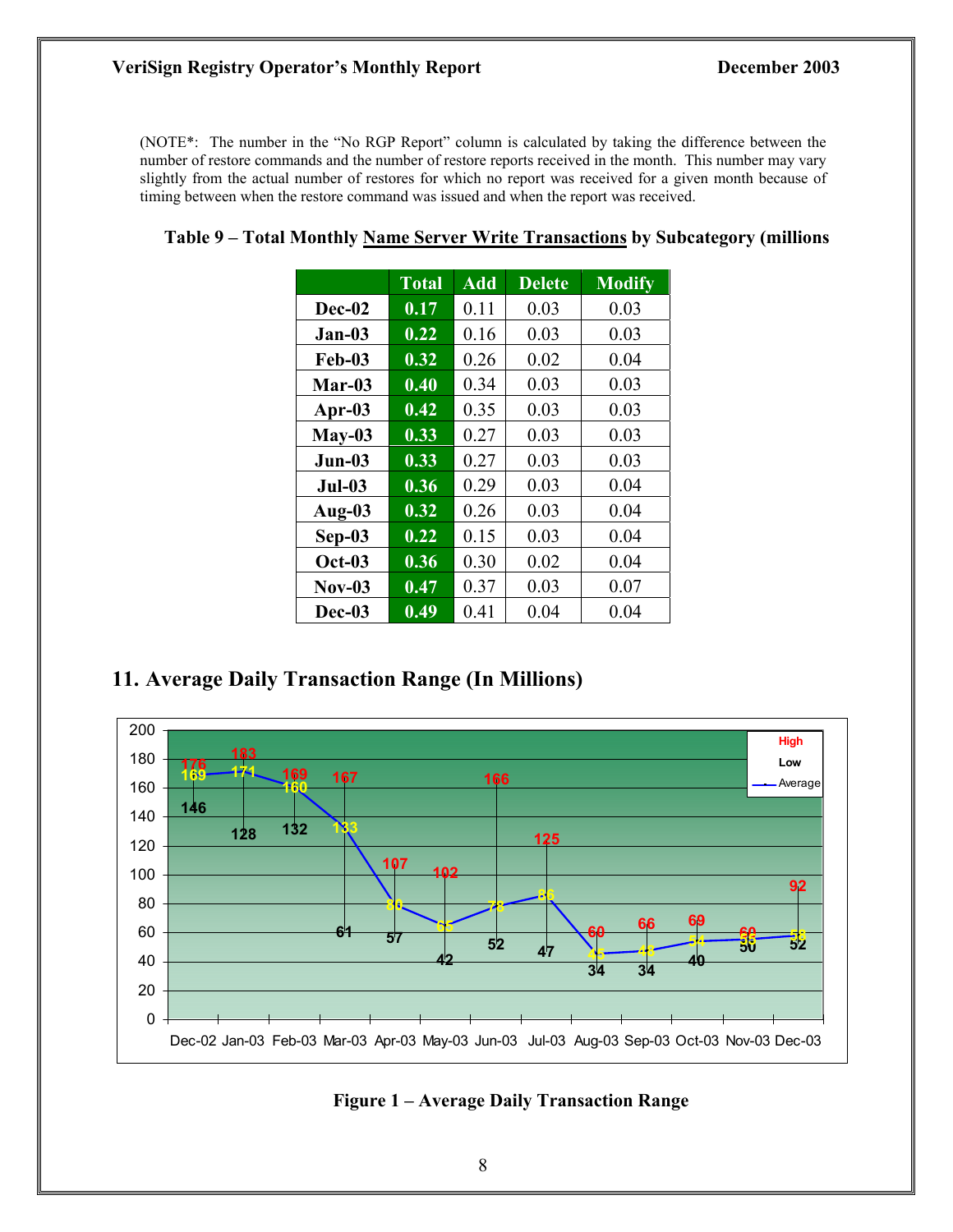#### **VeriSign Registry Operator's Monthly Report December 2003**

(NOTE\*: The number in the "No RGP Report" column is calculated by taking the difference between the number of restore commands and the number of restore reports received in the month. This number may vary slightly from the actual number of restores for which no report was received for a given month because of timing between when the restore command was issued and when the report was received.

|               | <b>Total</b> | <b>Add</b> | <b>Delete</b> | <b>Modify</b> |
|---------------|--------------|------------|---------------|---------------|
| Dec-02        | 0.17         | 0.11       | 0.03          | 0.03          |
| $Jan-03$      | 0.22         | 0.16       | 0.03          | 0.03          |
| $Feb-03$      | 0.32         | 0.26       | 0.02          | 0.04          |
| $Mar-03$      | 0.40         | 0.34       | 0.03          | 0.03          |
| Apr-03        | 0.42         | 0.35       | 0.03          | 0.03          |
| $May-03$      | 0.33         | 0.27       | 0.03          | 0.03          |
| $Jun-03$      | 0.33         | 0.27       | 0.03          | 0.03          |
| $Jul-03$      | 0.36         | 0.29       | 0.03          | 0.04          |
| Aug-03        | 0.32         | 0.26       | 0.03          | 0.04          |
| $Sep-03$      | 0.22         | 0.15       | 0.03          | 0.04          |
| <b>Oct-03</b> | 0.36         | 0.30       | 0.02          | 0.04          |
| $Nov-03$      | 0.47         | 0.37       | 0.03          | 0.07          |
| Dec-03        | 0.49         | 0.41       | 0.04          | 0.04          |

#### **Table 9 – Total Monthly Name Server Write Transactions by Subcategory (millions**

#### **11. Average Daily Transaction Range (In Millions)**



#### **Figure 1 – Average Daily Transaction Range**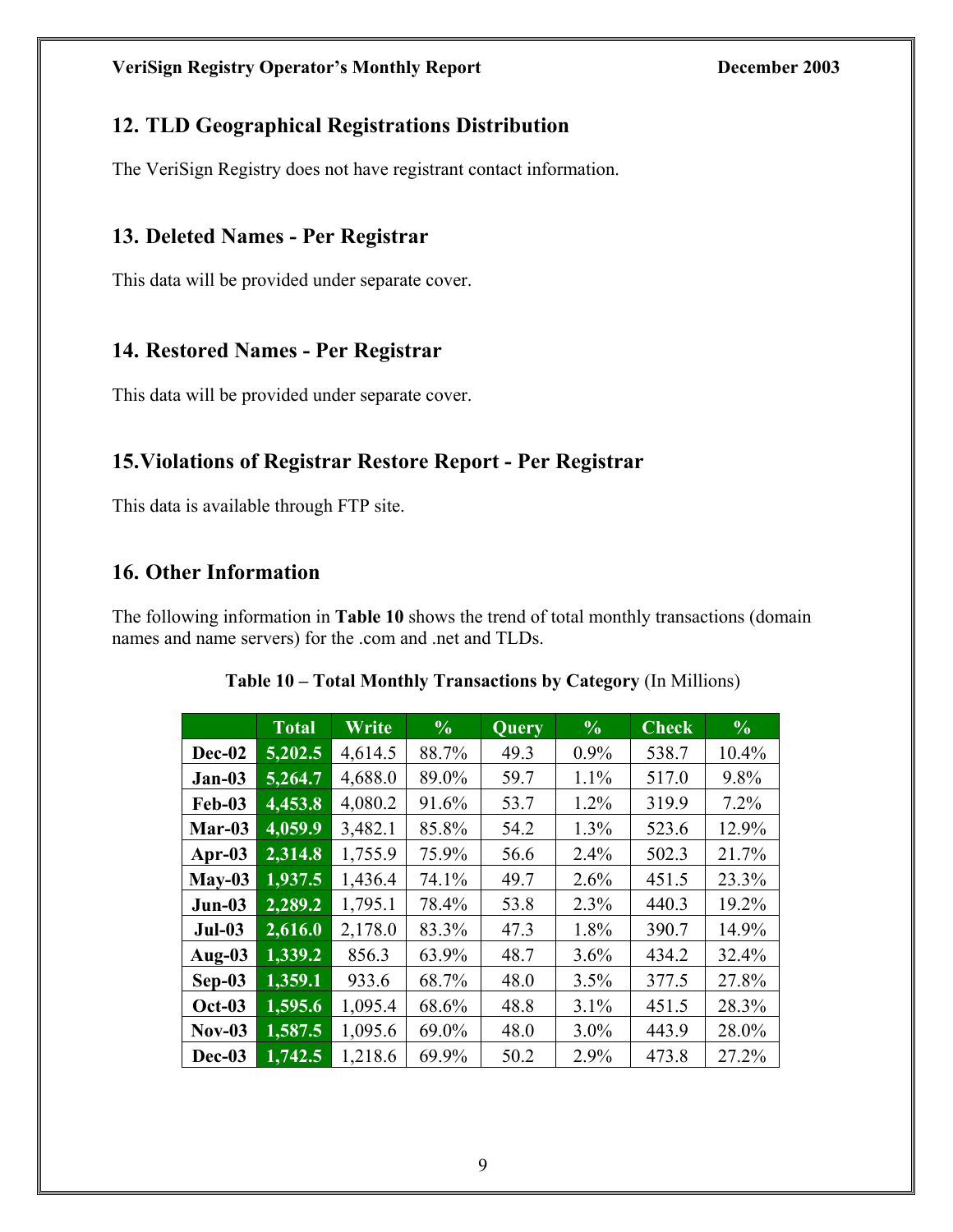# **12. TLD Geographical Registrations Distribution**

The VeriSign Registry does not have registrant contact information.

## **13. Deleted Names - Per Registrar**

This data will be provided under separate cover.

## **14. Restored Names - Per Registrar**

This data will be provided under separate cover.

# **15.Violations of Registrar Restore Report - Per Registrar**

This data is available through FTP site.

# **16. Other Information**

The following information in **Table 10** shows the trend of total monthly transactions (domain names and name servers) for the .com and .net and TLDs.

|               | <b>Total</b> | Write   | $\frac{6}{6}$ | <b>Query</b> | $\frac{0}{0}$ | <b>Check</b> | $\frac{0}{0}$ |
|---------------|--------------|---------|---------------|--------------|---------------|--------------|---------------|
| Dec-02        | 5,202.5      | 4,614.5 | 88.7%         | 49.3         | $0.9\%$       | 538.7        | 10.4%         |
| $Jan-03$      | 5,264.7      | 4,688.0 | 89.0%         | 59.7         | 1.1%          | 517.0        | 9.8%          |
| <b>Feb-03</b> | 4,453.8      | 4,080.2 | 91.6%         | 53.7         | 1.2%          | 319.9        | $7.2\%$       |
| Mar-03        | 4,059.9      | 3,482.1 | 85.8%         | 54.2         | 1.3%          | 523.6        | 12.9%         |
| Apr- $03$     | 2,314.8      | 1,755.9 | 75.9%         | 56.6         | 2.4%          | 502.3        | 21.7%         |
| $May-03$      | 1,937.5      | 1,436.4 | 74.1%         | 49.7         | 2.6%          | 451.5        | 23.3%         |
| $Jun-03$      | 2,289.2      | 1,795.1 | 78.4%         | 53.8         | 2.3%          | 440.3        | 19.2%         |
| $Jul-03$      | 2,616.0      | 2,178.0 | 83.3%         | 47.3         | 1.8%          | 390.7        | 14.9%         |
| Aug- $03$     | 1,339.2      | 856.3   | 63.9%         | 48.7         | 3.6%          | 434.2        | 32.4%         |
| $Sep-03$      | 1,359.1      | 933.6   | 68.7%         | 48.0         | 3.5%          | 377.5        | 27.8%         |
| <b>Oct-03</b> | 1,595.6      | 1,095.4 | 68.6%         | 48.8         | 3.1%          | 451.5        | 28.3%         |
| $Nov-03$      | 1,587.5      | 1,095.6 | 69.0%         | 48.0         | $3.0\%$       | 443.9        | 28.0%         |
| Dec-03        | 1,742.5      | 1,218.6 | 69.9%         | 50.2         | 2.9%          | 473.8        | 27.2%         |

**Table 10 – Total Monthly Transactions by Category** (In Millions)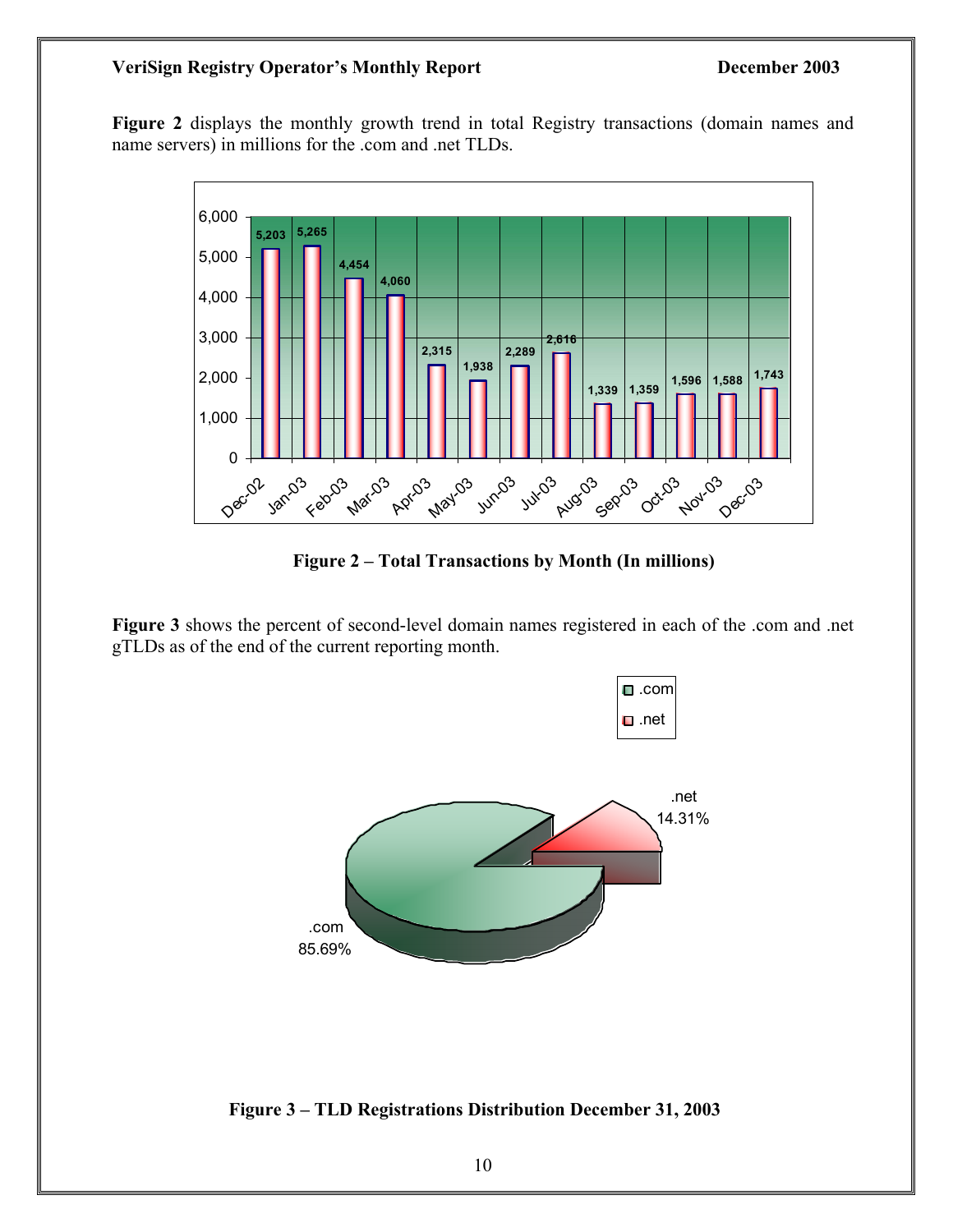#### **VeriSign Registry Operator's Monthly Report December 2003**

**Figure 2** displays the monthly growth trend in total Registry transactions (domain names and name servers) in millions for the .com and .net TLDs.



**Figure 2 – Total Transactions by Month (In millions)** 

**Figure 3** shows the percent of second-level domain names registered in each of the .com and .net gTLDs as of the end of the current reporting month.



 **Figure 3 – TLD Registrations Distribution December 31, 2003**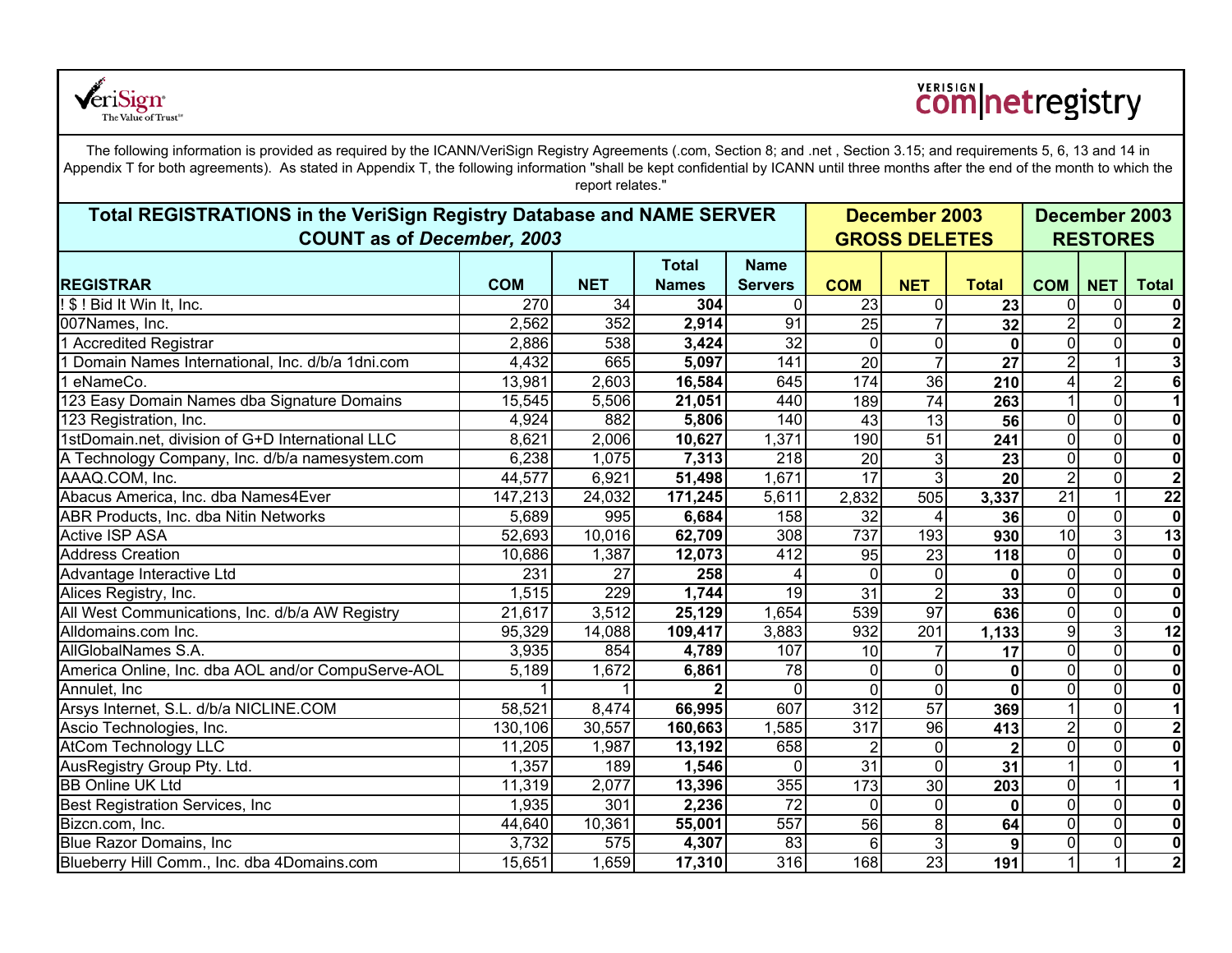

# **COM**netregistry

The following information is provided as required by the ICANN/VeriSign Registry Agreements (.com, Section 8; and .net , Section 3.15; and requirements 5, 6, 13 and 14 in Appendix T for both agreements). As stated in Appendix T, the following information "shall be kept confidential by ICANN until three months after the end of the month to which the report relates."

| Total REGISTRATIONS in the VeriSign Registry Database and NAME SERVER<br><b>COUNT as of December, 2003</b> |            |            |              | December 2003<br><b>GROSS DELETES</b> | December 2003<br><b>RESTORES</b> |                      |                  |                 |                         |                          |
|------------------------------------------------------------------------------------------------------------|------------|------------|--------------|---------------------------------------|----------------------------------|----------------------|------------------|-----------------|-------------------------|--------------------------|
|                                                                                                            |            |            | <b>Total</b> | <b>Name</b>                           |                                  |                      |                  |                 |                         |                          |
| <b>REGISTRAR</b>                                                                                           | <b>COM</b> | <b>NET</b> | <b>Names</b> | <b>Servers</b>                        | <b>COM</b>                       | <b>NET</b>           | <b>Total</b>     | <b>COM</b>      | <b>NET</b>              | <b>Total</b>             |
| ! \$ ! Bid It Win It, Inc.                                                                                 | 270        | 34         | 304          | $\Omega$                              | 23                               | $\mathbf 0$          | 23               | $\Omega$        | 0                       | $\mathbf 0$              |
| 007Names, Inc.                                                                                             | 2,562      | 352        | 2,914        | 91                                    | $\overline{25}$                  | $\overline{7}$       | 32               | $\overline{2}$  | $\overline{\mathbf{o}}$ | $\boldsymbol{2}$         |
| 1 Accredited Registrar                                                                                     | 2,886      | 538        | 3,424        | 32                                    | $\Omega$                         | $\mathbf 0$          | $\mathbf{0}$     | $\Omega$        | $\overline{0}$          | $\mathbf 0$              |
| 1 Domain Names International, Inc. d/b/a 1dni.com                                                          | 4,432      | 665        | 5,097        | 141                                   | 20                               | $\overline{7}$       | 27               | $\overline{2}$  | $\mathbf{1}$            | 3                        |
| 1 eNameCo.                                                                                                 | 13,981     | 2,603      | 16,584       | 645                                   | 174                              | 36                   | $\overline{210}$ | 4               | $\overline{2}$          | $\overline{\mathbf{6}}$  |
| 123 Easy Domain Names dba Signature Domains                                                                | 15,545     | 5,506      | 21,051       | 440                                   | 189                              | 74                   | 263              |                 | $\overline{0}$          | $\overline{1}$           |
| 123 Registration, Inc.                                                                                     | 4,924      | 882        | 5,806        | 140                                   | 43                               | 13                   | 56               | $\overline{0}$  | $\overline{\mathsf{o}}$ | $\overline{\bullet}$     |
| 1stDomain.net, division of G+D International LLC                                                           | 8,621      | 2,006      | 10,627       | 1,371                                 | 190                              | $\overline{51}$      | 241              | $\overline{0}$  | $\overline{0}$          | $\mathbf 0$              |
| A Technology Company, Inc. d/b/a namesystem.com                                                            | 6,238      | 1,075      | 7,313        | 218                                   | 20                               | $\mathbf{3}$         | 23               | $\Omega$        | $\overline{0}$          | $\overline{\bullet}$     |
| AAAQ.COM, Inc.                                                                                             | 44,577     | 6,921      | 51,498       | 1,671                                 | 17                               | 3                    | 20               | $\overline{2}$  | $\pmb{0}$               | $\mathbf{2}$             |
| Abacus America, Inc. dba Names4Ever                                                                        | 147,213    | 24,032     | 171,245      | 5,611                                 | 2,832                            | 505                  | 3,337            | $\overline{21}$ | $\overline{1}$          | $\overline{22}$          |
| ABR Products, Inc. dba Nitin Networks                                                                      | 5,689      | 995        | 6,684        | 158                                   | 32                               | 4                    | 36               | $\overline{0}$  | $\overline{\mathsf{o}}$ | $\mathbf 0$              |
| <b>Active ISP ASA</b>                                                                                      | 52,693     | 10,016     | 62,709       | 308                                   | 737                              | 193                  | 930              | $\overline{10}$ | $\overline{3}$          | $\overline{13}$          |
| <b>Address Creation</b>                                                                                    | 10,686     | 1,387      | 12,073       | 412                                   | 95                               | $\overline{23}$      | 118              | $\Omega$        | $\overline{0}$          | $\overline{\bullet}$     |
| Advantage Interactive Ltd                                                                                  | 231        | 27         | 258          | 4                                     | $\Omega$                         | $\mathbf 0$          | $\mathbf 0$      | $\Omega$        | $\overline{\mathsf{o}}$ | $\mathbf 0$              |
| Alices Registry, Inc.                                                                                      | 1,515      | 229        | 1,744        | 19                                    | 31                               | $\overline{2}$       | 33               | $\overline{0}$  | $\overline{\mathsf{o}}$ | $\mathbf 0$              |
| All West Communications, Inc. d/b/a AW Registry                                                            | 21,617     | 3,512      | 25,129       | 1,654                                 | 539                              | $\overline{97}$      | 636              | $\Omega$        | $\overline{0}$          | $\mathbf 0$              |
| Alldomains.com Inc.                                                                                        | 95,329     | 14,088     | 109,417      | 3,883                                 | 932                              | 201                  | 1,133            | 9               | $\overline{3}$          | 12                       |
| AllGlobalNames S.A.                                                                                        | 3,935      | 854        | 4,789        | 107                                   | 10                               | $\overline{7}$       | $\overline{17}$  | $\overline{0}$  | $\overline{0}$          | $\overline{\bullet}$     |
| America Online, Inc. dba AOL and/or CompuServe-AOL                                                         | 5,189      | 1,672      | 6,861        | $\overline{78}$                       | $\Omega$                         | $\mathbf 0$          | 0                | $\Omega$        | $\overline{0}$          | $\overline{\mathbf{0}}$  |
| Annulet, Inc.                                                                                              |            |            |              | $\Omega$                              | $\Omega$                         | $\overline{\bullet}$ | 0                | $\Omega$        | $\overline{0}$          | $\overline{\bullet}$     |
| Arsys Internet, S.L. d/b/a NICLINE.COM                                                                     | 58,521     | 8,474      | 66,995       | 607                                   | 312                              | 57                   | 369              |                 | $\overline{\mathsf{o}}$ | $\overline{\phantom{a}}$ |
| Ascio Technologies, Inc.                                                                                   | 130,106    | 30,557     | 160,663      | 1,585                                 | $\overline{317}$                 | $\overline{96}$      | 413              | $\overline{2}$  | $\overline{\mathsf{o}}$ | $\overline{\mathbf{c}}$  |
| <b>AtCom Technology LLC</b>                                                                                | 11,205     | 1,987      | 13,192       | 658                                   | $\mathfrak{p}$                   | $\mathbf 0$          | $\overline{2}$   | $\Omega$        | $\overline{\mathsf{o}}$ | $\mathbf 0$              |
| AusRegistry Group Pty. Ltd.                                                                                | 1,357      | 189        | 1,546        | $\overline{0}$                        | $\overline{31}$                  | $\mathbf 0$          | 31               | 11              | $\pmb{0}$               | $\mathbf{1}$             |
| <b>BB Online UK Ltd</b>                                                                                    | 11,319     | 2,077      | 13,396       | 355                                   | 173                              | 30                   | $\overline{203}$ | $\overline{0}$  | $\overline{1}$          | $\overline{\phantom{a}}$ |
| Best Registration Services, Inc.                                                                           | 1,935      | 301        | 2,236        | $\overline{72}$                       | $\Omega$                         | $\mathbf 0$          | 0                | $\overline{0}$  | $\overline{0}$          | $\mathbf 0$              |
| Bizcn.com, Inc.                                                                                            | 44,640     | 10,361     | 55,001       | 557                                   | $\overline{56}$                  | $\infty$             | 64               | $\overline{0}$  | $\overline{0}$          | $\overline{\bullet}$     |
| Blue Razor Domains, Inc.                                                                                   | 3,732      | 575        | 4,307        | 83                                    | $\overline{6}$                   | $\overline{3}$       | $\boldsymbol{9}$ | $\overline{0}$  | $\overline{0}$          | $\overline{\bullet}$     |
| Blueberry Hill Comm., Inc. dba 4Domains.com                                                                | 15,651     | 1,659      | 17,310       | 316                                   | 168                              | 23                   | 191              | $\mathbf{1}$    | $\overline{1}$          | $\overline{\mathbf{2}}$  |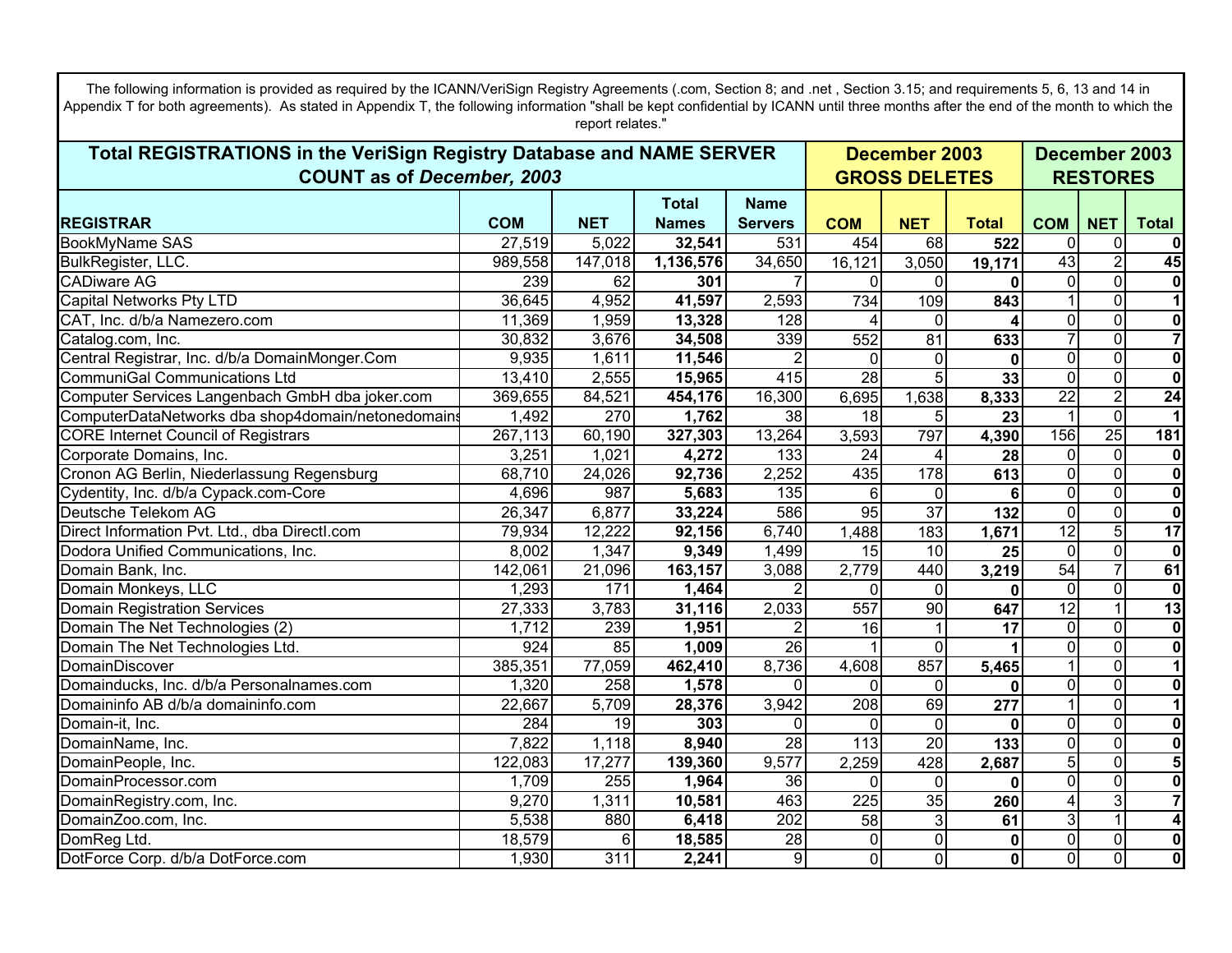The following information is provided as required by the ICANN/VeriSign Registry Agreements (.com, Section 8; and .net , Section 3.15; and requirements 5, 6, 13 and 14 in Appendix T for both agreements). As stated in Appendix T, the following information "shall be kept confidential by ICANN until three months after the end of the month to which the report relates."

| Total REGISTRATIONS in the VeriSign Registry Database and NAME SERVER |            |                 |              |                  |                  |                 | December 2003        |                 |                |                         |
|-----------------------------------------------------------------------|------------|-----------------|--------------|------------------|------------------|-----------------|----------------------|-----------------|----------------|-------------------------|
| <b>COUNT as of December, 2003</b>                                     |            |                 |              |                  |                  |                 | <b>GROSS DELETES</b> |                 |                |                         |
|                                                                       |            |                 | <b>Total</b> | <b>Name</b>      |                  |                 |                      |                 |                |                         |
| <b>REGISTRAR</b>                                                      | <b>COM</b> | <b>NET</b>      | <b>Names</b> | <b>Servers</b>   | <b>COM</b>       | <b>NET</b>      | <b>Total</b>         | <b>COM</b>      | <b>NET</b>     | <b>Total</b>            |
| <b>BookMyName SAS</b>                                                 | 27,519     | 5,022           | 32,541       | 531              | 454              | 68              | 522                  | $\Omega$        | $\Omega$       |                         |
| BulkRegister, LLC.                                                    | 989,558    | 147,018         | 1,136,576    | 34,650           | 16,121           | 3,050           | 19,171               | $\overline{43}$ | $\overline{2}$ | 45                      |
| <b>CADiware AG</b>                                                    | 239        | 62              | 301          |                  | $\Omega$         | $\Omega$        |                      | 0               | $\overline{0}$ |                         |
| Capital Networks Pty LTD                                              | 36,645     | 4,952           | 41,597       | 2,593            | 734              | 109             | 843                  |                 | $\overline{0}$ |                         |
| CAT, Inc. d/b/a Namezero.com                                          | 11,369     | 1,959           | 13,328       | $\overline{128}$ |                  | $\overline{0}$  |                      | 0               | $\overline{0}$ | 0                       |
| Catalog.com, Inc.                                                     | 30,832     | 3,676           | 34,508       | 339              | 552              | 81              | 633                  |                 | $\overline{0}$ | $\overline{7}$          |
| Central Registrar, Inc. d/b/a DomainMonger.Com                        | 9,935      | 1,611           | 11,546       |                  | $\Omega$         | $\mathbf 0$     | $\mathbf{0}$         | $\Omega$        | $\overline{0}$ | $\overline{\mathbf{0}}$ |
| <b>CommuniGal Communications Ltd</b>                                  | 13,410     | 2,555           | 15,965       | 415              | $\overline{28}$  | 5               | 33                   | $\Omega$        | $\overline{0}$ | $\mathbf{0}$            |
| Computer Services Langenbach GmbH dba joker.com                       | 369,655    | 84,521          | 454,176      | 16,300           | 6,695            | 1,638           | 8,333                | $\overline{22}$ | $\overline{2}$ | $\overline{24}$         |
| ComputerDataNetworks dba shop4domain/netonedomains                    | 1,492      | 270             | 1,762        | $\overline{38}$  | $\overline{18}$  | 5 <sup>5</sup>  | 23                   |                 | $\Omega$       |                         |
| <b>CORE Internet Council of Registrars</b>                            | 267,113    | 60,190          | 327,303      | 13,264           | 3,593            | 797             | 4,390                | 156             | 25             | 181                     |
| Corporate Domains, Inc.                                               | 3,251      | 1,021           | 4,272        | 133              | $\overline{24}$  | 4               | 28                   | 0               | $\overline{0}$ | 0                       |
| Cronon AG Berlin, Niederlassung Regensburg                            | 68,710     | 24,026          | 92,736       | 2,252            | 435              | 178             | 613                  | 0               | $\overline{0}$ | $\overline{\mathbf{0}}$ |
| Cydentity, Inc. d/b/a Cypack.com-Core                                 | 4,696      | 987             | 5,683        | 135              | 6                | $\mathbf 0$     | 6                    | $\Omega$        | $\overline{0}$ | $\overline{\mathbf{0}}$ |
| Deutsche Telekom AG                                                   | 26,347     | 6,877           | 33,224       | 586              | 95               | $\overline{37}$ | $\overline{132}$     | $\Omega$        | $\overline{0}$ | $\overline{\mathbf{0}}$ |
| Direct Information Pvt. Ltd., dba Directl.com                         | 79,934     | 12,222          | 92,156       | 6,740            | 1,488            | 183             | 1,671                | $\overline{12}$ | $\overline{5}$ | $\overline{17}$         |
| Dodora Unified Communications, Inc.                                   | 8,002      | 1,347           | 9,349        | 1,499            | 15               | 10              | 25                   | 0               | $\overline{0}$ | $\bf{0}$                |
| Domain Bank, Inc.                                                     | 142,061    | 21,096          | 163,157      | 3,088            | 2,779            | 440             | 3,219                | 54              | $\overline{7}$ | 61                      |
| Domain Monkeys, LLC                                                   | 1,293      | 171             | 1,464        |                  | $\Omega$         | $\overline{0}$  | 0                    | 0               | $\overline{0}$ | $\bf{0}$                |
| <b>Domain Registration Services</b>                                   | 27,333     | 3,783           | 31,116       | 2,033            | 557              | 90              | 647                  | 12              | 1              | 13                      |
| Domain The Net Technologies (2)                                       | 1,712      | 239             | 1,951        | $\overline{2}$   | 16               |                 | 17                   | 0               | $\overline{0}$ | $\mathbf 0$             |
| Domain The Net Technologies Ltd.                                      | 924        | $\overline{85}$ | 1,009        | 26               |                  | $\mathbf 0$     |                      | 0               | $\overline{0}$ | $\mathbf 0$             |
| DomainDiscover                                                        | 385,351    | 77,059          | 462,410      | 8,736            | 4,608            | 857             | 5,465                |                 | $\overline{0}$ |                         |
| Domainducks, Inc. d/b/a Personalnames.com                             | 1,320      | 258             | 1,578        | 0                | $\Omega$         | $\mathbf 0$     | 0                    | $\overline{0}$  | $\overline{0}$ | $\mathbf 0$             |
| Domaininfo AB d/b/a domaininfo.com                                    | 22,667     | 5,709           | 28,376       | 3,942            | 208              | 69              | 277                  |                 | $\overline{0}$ |                         |
| Domain-it, Inc.                                                       | 284        | 19              | 303          | 0                | $\Omega$         | $\mathbf 0$     |                      | 0               | $\overline{0}$ | $\bf{0}$                |
| DomainName, Inc.                                                      | 7,822      | 1,118           | 8,940        | $\overline{28}$  | 113              | $\overline{20}$ | 133                  | 0               | $\overline{0}$ | $\overline{\mathbf{0}}$ |
| DomainPeople, Inc.                                                    | 122,083    | 17,277          | 139,360      | 9,577            | 2,259            | 428             | 2,687                | 5               | $\overline{0}$ | 5                       |
| DomainProcessor.com                                                   | 1,709      | 255             | 1,964        | $\overline{36}$  | $\Omega$         | $\overline{0}$  | 0                    | 0               | $\overline{0}$ | $\overline{\mathbf{0}}$ |
| DomainRegistry.com, Inc.                                              | 9,270      | 1,311           | 10,581       | 463              | $\overline{225}$ | 35              | 260                  |                 | 3              |                         |
| DomainZoo.com, Inc.                                                   | 5,538      | 880             | 6,418        | $\overline{202}$ | $\overline{58}$  | $\mathbf{3}$    | 61                   | دن              | $\overline{1}$ |                         |
| DomReg Ltd.                                                           | 18,579     | 6               | 18,585       | $\overline{28}$  | $\overline{0}$   | $\mathbf 0$     | 0                    | 0               | $\overline{0}$ | $\overline{\mathbf{0}}$ |
| DotForce Corp. d/b/a DotForce.com                                     | 1,930      | 311             | 2,241        | $\overline{9}$   | $\overline{0}$   | $\overline{0}$  | 0                    | O               | $\overline{0}$ | $\overline{\mathbf{0}}$ |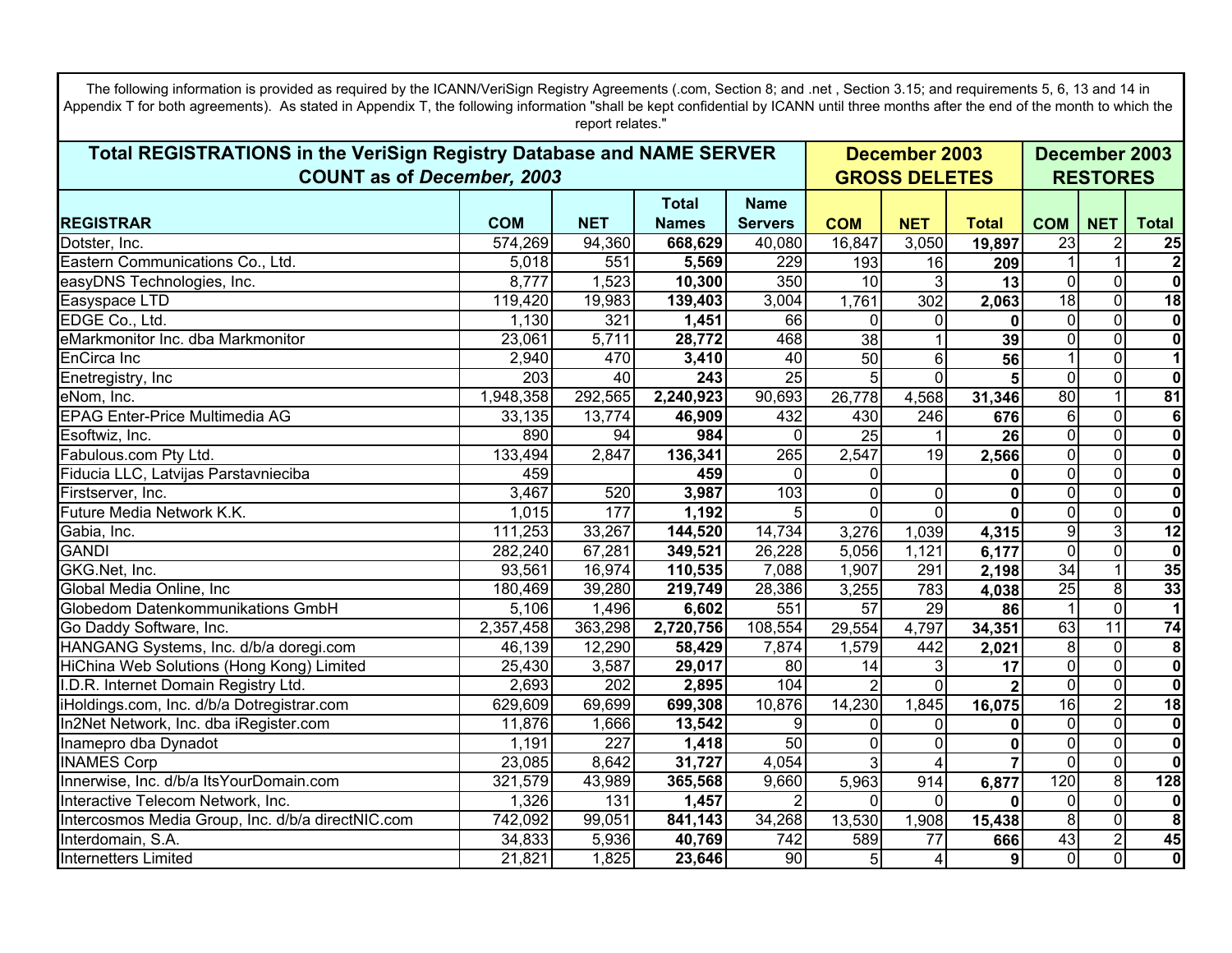The following information is provided as required by the ICANN/VeriSign Registry Agreements (.com, Section 8; and .net , Section 3.15; and requirements 5, 6, 13 and 14 in Appendix T for both agreements). As stated in Appendix T, the following information "shall be kept confidential by ICANN until three months after the end of the month to which the report relates."

| Total REGISTRATIONS in the VeriSign Registry Database and NAME SERVER |            |            |                  |                 |                 | December 2003           |                      |                         |                         | December 2003           |  |  |
|-----------------------------------------------------------------------|------------|------------|------------------|-----------------|-----------------|-------------------------|----------------------|-------------------------|-------------------------|-------------------------|--|--|
| <b>COUNT as of December, 2003</b>                                     |            |            |                  |                 |                 |                         | <b>GROSS DELETES</b> |                         |                         |                         |  |  |
|                                                                       |            |            | <b>Total</b>     | <b>Name</b>     |                 |                         |                      |                         |                         |                         |  |  |
| <b>REGISTRAR</b>                                                      | <b>COM</b> | <b>NET</b> | <b>Names</b>     | <b>Servers</b>  | <b>COM</b>      | <b>NET</b>              | <b>Total</b>         | <b>COM</b>              | <b>NET</b>              | <b>Total</b>            |  |  |
| Dotster, Inc.                                                         | 574,269    | 94,360     | 668,629          | 40,080          | 16,847          | 3,050                   | 19,897               | 23                      | $\overline{2}$          | 25                      |  |  |
| Eastern Communications Co., Ltd.                                      | 5,018      | 551        | 5,569            | 229             | 193             | 16                      | 209                  |                         |                         | $\overline{2}$          |  |  |
| easyDNS Technologies, Inc.                                            | 8,777      | 1,523      | 10,300           | 350             | $\overline{10}$ | $\mathbf{3}$            | 13                   | $\overline{0}$          | $\overline{0}$          | $\overline{\mathbf{0}}$ |  |  |
| Easyspace LTD                                                         | 119,420    | 19,983     | 139,403          | 3,004           | 1,761           | 302                     | 2,063                | 18                      | $\Omega$                | 18                      |  |  |
| EDGE Co., Ltd.                                                        | 1,130      | 321        | 1,451            | 66              | 0               | $\mathbf 0$             | 0                    | $\overline{0}$          | $\overline{0}$          | $\pmb{0}$               |  |  |
| eMarkmonitor Inc. dba Markmonitor                                     | 23,061     | 5,711      | 28,772           | 468             | 38              |                         | 39                   | $\overline{0}$          | $\overline{\mathsf{o}}$ | $\overline{\mathbf{0}}$ |  |  |
| EnCirca Inc                                                           | 2,940      | 470        | 3,410            | 40              | 50              | $6\phantom{.}$          | 56                   |                         | $\overline{0}$          | $\overline{1}$          |  |  |
| Enetregistry, Inc                                                     | 203        | 40         | $\overline{243}$ | $\overline{25}$ | 5               | $\mathbf 0$             |                      | $\overline{0}$          | $\overline{\mathsf{o}}$ | $\overline{\mathbf{0}}$ |  |  |
| eNom, Inc.                                                            | 1,948,358  | 292,565    | 2,240,923        | 90,693          | 26,778          | 4,568                   | 31,346               | 80                      | $\overline{1}$          | 81                      |  |  |
| <b>EPAG Enter-Price Multimedia AG</b>                                 | 33,135     | 13,774     | 46,909           | 432             | 430             | $\overline{246}$        | 676                  | $6\phantom{.}$          | $\overline{0}$          | $\overline{6}$          |  |  |
| Esoftwiz, Inc.                                                        | 890        | 94         | 984              | $\Omega$        | $\overline{25}$ |                         | 26                   | $\overline{0}$          | $\overline{\mathsf{o}}$ | $\overline{\mathbf{0}}$ |  |  |
| Fabulous.com Pty Ltd.                                                 | 133,494    | 2,847      | 136,341          | 265             | 2,547           | $\overline{19}$         | 2,566                | $\overline{0}$          | $\overline{0}$          | $\overline{\mathbf{0}}$ |  |  |
| Fiducia LLC, Latvijas Parstavnieciba                                  | 459        |            | 459              | 0               | 0               |                         | 0                    | $\Omega$                | $\overline{0}$          | $\overline{\mathbf{0}}$ |  |  |
| Firstserver, Inc.                                                     | 3,467      | 520        | 3,987            | 103             | $\Omega$        | $\mathbf 0$             | $\mathbf{0}$         | $\Omega$                | $\overline{0}$          | $\overline{\mathbf{0}}$ |  |  |
| Future Media Network K.K.                                             | 1,015      | 177        | 1,192            | $\overline{5}$  | $\overline{0}$  | $\overline{\mathsf{o}}$ | $\Omega$             | $\overline{0}$          | $\overline{0}$          | $\overline{\mathbf{0}}$ |  |  |
| Gabia, Inc.                                                           | 111,253    | 33,267     | 144,520          | 14,734          | 3,276           | 1,039                   | 4,315                | $\overline{9}$          | $\overline{3}$          | $\overline{12}$         |  |  |
| <b>GANDI</b>                                                          | 282,240    | 67,281     | 349,521          | 26,228          | 5,056           | 1,121                   | 6,177                | $\overline{\mathsf{o}}$ | $\overline{0}$          | $\overline{\mathbf{0}}$ |  |  |
| GKG.Net, Inc.                                                         | 93,561     | 16,974     | 110,535          | 7,088           | 1,907           | 291                     | 2,198                | 34                      | $\overline{1}$          | 35                      |  |  |
| Global Media Online, Inc                                              | 180,469    | 39,280     | 219,749          | 28,386          | 3,255           | 783                     | 4,038                | 25                      | 8                       | 33                      |  |  |
| Globedom Datenkommunikations GmbH                                     | 5,106      | 1,496      | 6,602            | 551             | $\overline{57}$ | $\overline{29}$         | 86                   |                         | $\overline{0}$          | $\overline{1}$          |  |  |
| Go Daddy Software, Inc.                                               | 2,357,458  | 363,298    | 2,720,756        | 108,554         | 29,554          | 4,797                   | 34,351               | 63                      | 11                      | 74                      |  |  |
| HANGANG Systems, Inc. d/b/a doregi.com                                | 46,139     | 12,290     | 58,429           | 7,874           | 1,579           | 442                     | 2,021                | $\infty$                | $\overline{0}$          | $\bf{8}$                |  |  |
| HiChina Web Solutions (Hong Kong) Limited                             | 25,430     | 3,587      | 29,017           | 80              | 14              | $\mathbf{3}$            | 17                   | $\overline{\mathsf{o}}$ | $\overline{0}$          | $\overline{\mathbf{0}}$ |  |  |
| I.D.R. Internet Domain Registry Ltd.                                  | 2,693      | 202        | 2,895            | 104             | $\mathcal{P}$   | $\overline{0}$          |                      | $\overline{\mathbf{o}}$ | $\overline{0}$          | $\overline{\mathbf{0}}$ |  |  |
| iHoldings.com, Inc. d/b/a Dotregistrar.com                            | 629,609    | 69,699     | 699,308          | 10,876          | 14,230          | 1,845                   | 16,075               | 16                      | $\overline{2}$          | 18                      |  |  |
| In2Net Network, Inc. dba iRegister.com                                | 11,876     | 1,666      | 13,542           | 9               | 0               | 0                       | 0                    | $\overline{0}$          | $\overline{0}$          | $\overline{\mathbf{0}}$ |  |  |
| Inamepro dba Dynadot                                                  | 1,191      | 227        | 1,418            | 50              | $\overline{0}$  | $\overline{0}$          | $\mathbf 0$          | $\overline{0}$          | $\overline{0}$          | $\overline{\mathbf{0}}$ |  |  |
| <b>INAMES Corp</b>                                                    | 23,085     | 8,642      | 31,727           | 4,054           | $\overline{3}$  | $\overline{4}$          |                      | $\overline{0}$          | $\mathbf 0$             | $\overline{\mathbf{0}}$ |  |  |
| Innerwise, Inc. d/b/a ItsYourDomain.com                               | 321,579    | 43,989     | 365,568          | 9,660           | 5,963           | 914                     | 6,877                | 120                     | $\infty$                | 128                     |  |  |
| Interactive Telecom Network, Inc.                                     | 1,326      | 131        | 1,457            | $\overline{2}$  | $\Omega$        | $\mathbf 0$             | $\mathbf{0}$         | $\overline{0}$          | $\overline{0}$          | $\pmb{0}$               |  |  |
| Intercosmos Media Group, Inc. d/b/a directNIC.com                     | 742,092    | 99,051     | 841,143          | 34,268          | 13,530          | 1,908                   | 15,438               | $\overline{8}$          | $\overline{0}$          | $\overline{\mathbf{8}}$ |  |  |
| Interdomain, S.A.                                                     | 34,833     | 5,936      | 40,769           | 742             | 589             | 77                      | 666                  | 43                      | $\overline{2}$          | 45                      |  |  |
| <b>Internetters Limited</b>                                           | 21,821     | 1,825      | 23,646           | 90              | 5               | $\overline{4}$          | $\overline{9}$       | $\overline{0}$          | $\overline{0}$          | $\overline{\mathbf{0}}$ |  |  |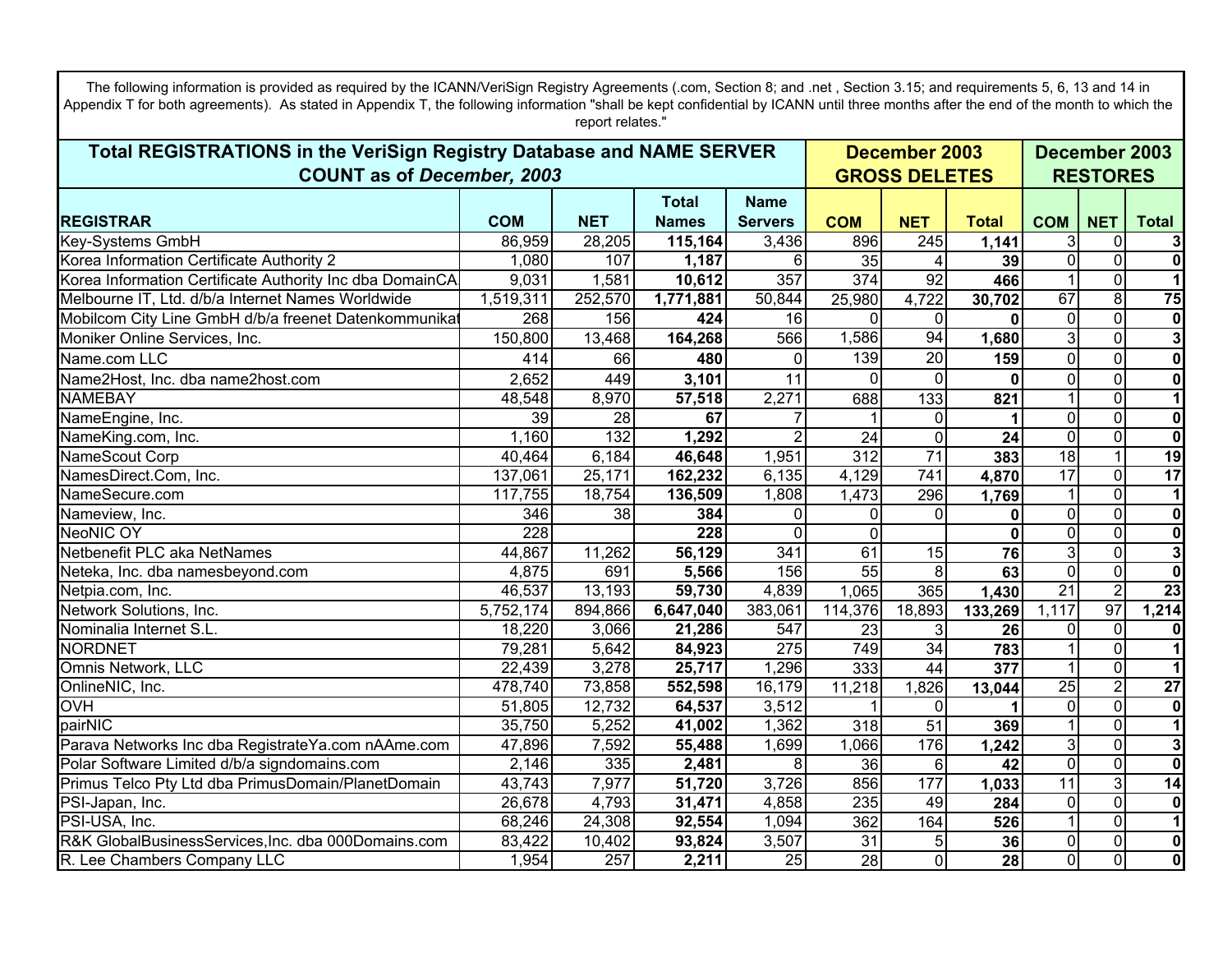| report relates."<br>Total REGISTRATIONS in the VeriSign Registry Database and NAME SERVER<br>December 2003<br>December 2003<br><b>COUNT as of December, 2003</b><br><b>GROSS DELETES</b><br><b>RESTORES</b><br><b>Total</b><br><b>Name</b><br><b>COM</b><br><b>REGISTRAR</b><br><b>NET</b><br><b>Names</b><br><b>COM</b><br><b>NET</b><br><b>Total</b><br><b>COM</b><br><b>NET</b><br><b>Total</b><br><b>Servers</b><br>Key-Systems GmbH<br>86,959<br>28,205<br>115,164<br>3,436<br>3<br>$\mathbf 0$<br>896<br>245<br>3<br>1,141<br>Korea Information Certificate Authority 2<br>$\Omega$<br>$\mathbf 0$<br>$\mathbf 0$<br>1,080<br>107<br>35<br>1,187<br>6<br>39<br>4<br>357<br>$\overline{374}$<br>$\mathbf 0$<br>Korea Information Certificate Authority Inc dba DomainCA<br>9,031<br>1,581<br>10,612<br>92<br>466<br>$\overline{8}$<br>252,570<br>4,722<br>67<br>Melbourne IT, Ltd. d/b/a Internet Names Worldwide<br>1,519,311<br>1,771,881<br>50,844<br>25,980<br>30,702<br>$\mathbf{0}$<br>Mobilcom City Line GmbH d/b/a freenet Datenkommunikat<br>16<br>$\mathbf 0$<br>268<br>156<br>424<br>$\mathbf 0$<br>$\Omega$<br>$\Omega$<br>1,586<br>94<br>3<br>$\mathbf 0$<br>150,800<br>566<br>1,680<br>Moniker Online Services, Inc.<br>13,468<br>164,268<br>139<br>20<br>$\overline{0}$<br>$\mathbf 0$<br>$\mathbf 0$<br>159<br>Name.com LLC<br>414<br>66<br>480<br>$\Omega$<br>$\mathbf 0$<br>Name2Host, Inc. dba name2host.com<br>2,652<br>$\mathbf 0$<br>$\mathbf 0$<br>449<br>3,101<br>11<br>$\Omega$<br><b>NAMEBAY</b><br>2,271<br>$\overline{0}$<br>$\overline{1}$<br>48,548<br>8,970<br>57,518<br>133<br>688<br>821<br>$\overline{\mathbf{0}}$<br>$\mathbf 0$<br>NameEngine, Inc.<br>39<br>28<br>67<br>$\mathbf{0}$<br>0<br>132<br>$\overline{0}$<br>1,160<br>1,292<br>2<br>$\mathbf 0$<br>$\overline{0}$<br>NameKing.com, Inc.<br>24<br>24<br>71<br>18<br>$\overline{1}$<br>6,184<br>1,951<br>$\overline{312}$<br>40,464<br>46,648<br>383<br>NameScout Corp<br>$\overline{17}$<br>17<br>$\overline{0}$<br>162,232<br>6,135<br>4,129<br>$\overline{741}$<br>NamesDirect.Com, Inc.<br>137,061<br>25,171<br>4,870<br>$\overline{0}$<br>NameSecure.com<br>117,755<br>18,754<br>1,808<br>1,473<br>136,509<br>296<br>1,769<br>$\mathbf 0$<br>$\overline{0}$<br>Nameview, Inc.<br>346<br>38<br>384<br>$\Omega$<br>$\Omega$<br>$\mathbf{0}$<br>0<br>$\overline{\mathbf{0}}$<br><b>NeoNIC OY</b><br>228<br>228<br>0<br>$\Omega$<br>0<br>$\Omega$<br>$\bf{0}$<br>$\overline{\mathbf{3}}$<br>Netbenefit PLC aka NetNames<br>$\mathbf 0$<br>44,867<br>11,262<br>56,129<br>341<br>3<br>61<br>15<br>76<br>$\overline{0}$<br>$\overline{55}$<br>$\mathbf 0$<br>4,875<br>691<br>5,566<br>156<br>8<br>63<br>Neteka, Inc. dba namesbeyond.com<br>$\overline{2}$<br>$\overline{21}$<br>13,193<br>4,839<br>365<br>46,537<br>59,730<br>1,065<br>Netpia.com, Inc.<br>1,430<br>97<br>Network Solutions, Inc.<br>1,214<br>894,866<br>6,647,040<br>383,061<br>1,117<br>5,752,174<br>114,376<br>18,893<br>133,269 |
|-----------------------------------------------------------------------------------------------------------------------------------------------------------------------------------------------------------------------------------------------------------------------------------------------------------------------------------------------------------------------------------------------------------------------------------------------------------------------------------------------------------------------------------------------------------------------------------------------------------------------------------------------------------------------------------------------------------------------------------------------------------------------------------------------------------------------------------------------------------------------------------------------------------------------------------------------------------------------------------------------------------------------------------------------------------------------------------------------------------------------------------------------------------------------------------------------------------------------------------------------------------------------------------------------------------------------------------------------------------------------------------------------------------------------------------------------------------------------------------------------------------------------------------------------------------------------------------------------------------------------------------------------------------------------------------------------------------------------------------------------------------------------------------------------------------------------------------------------------------------------------------------------------------------------------------------------------------------------------------------------------------------------------------------------------------------------------------------------------------------------------------------------------------------------------------------------------------------------------------------------------------------------------------------------------------------------------------------------------------------------------------------------------------------------------------------------------------------------------------------------------------------------------------------------------------------------------------------------------------------------------------------------------------------------------------------------------------------------------------------------------------------------------------------------------------------------------------------------------------------------------------------------------------------------------------------------------------------------------------------------------|
|                                                                                                                                                                                                                                                                                                                                                                                                                                                                                                                                                                                                                                                                                                                                                                                                                                                                                                                                                                                                                                                                                                                                                                                                                                                                                                                                                                                                                                                                                                                                                                                                                                                                                                                                                                                                                                                                                                                                                                                                                                                                                                                                                                                                                                                                                                                                                                                                                                                                                                                                                                                                                                                                                                                                                                                                                                                                                                                                                                                                     |
| 75<br> 0 <br>$\overline{\mathbf{3}}$<br>$\mathbf{0}$<br>$\mathbf{0}$<br>$\overline{\mathbf{0}}$<br>19<br>$\mathbf{1}$<br>$\mathbf{0}$<br>$\overline{\mathbf{o}}$<br>23                                                                                                                                                                                                                                                                                                                                                                                                                                                                                                                                                                                                                                                                                                                                                                                                                                                                                                                                                                                                                                                                                                                                                                                                                                                                                                                                                                                                                                                                                                                                                                                                                                                                                                                                                                                                                                                                                                                                                                                                                                                                                                                                                                                                                                                                                                                                                                                                                                                                                                                                                                                                                                                                                                                                                                                                                              |
|                                                                                                                                                                                                                                                                                                                                                                                                                                                                                                                                                                                                                                                                                                                                                                                                                                                                                                                                                                                                                                                                                                                                                                                                                                                                                                                                                                                                                                                                                                                                                                                                                                                                                                                                                                                                                                                                                                                                                                                                                                                                                                                                                                                                                                                                                                                                                                                                                                                                                                                                                                                                                                                                                                                                                                                                                                                                                                                                                                                                     |
|                                                                                                                                                                                                                                                                                                                                                                                                                                                                                                                                                                                                                                                                                                                                                                                                                                                                                                                                                                                                                                                                                                                                                                                                                                                                                                                                                                                                                                                                                                                                                                                                                                                                                                                                                                                                                                                                                                                                                                                                                                                                                                                                                                                                                                                                                                                                                                                                                                                                                                                                                                                                                                                                                                                                                                                                                                                                                                                                                                                                     |
|                                                                                                                                                                                                                                                                                                                                                                                                                                                                                                                                                                                                                                                                                                                                                                                                                                                                                                                                                                                                                                                                                                                                                                                                                                                                                                                                                                                                                                                                                                                                                                                                                                                                                                                                                                                                                                                                                                                                                                                                                                                                                                                                                                                                                                                                                                                                                                                                                                                                                                                                                                                                                                                                                                                                                                                                                                                                                                                                                                                                     |
|                                                                                                                                                                                                                                                                                                                                                                                                                                                                                                                                                                                                                                                                                                                                                                                                                                                                                                                                                                                                                                                                                                                                                                                                                                                                                                                                                                                                                                                                                                                                                                                                                                                                                                                                                                                                                                                                                                                                                                                                                                                                                                                                                                                                                                                                                                                                                                                                                                                                                                                                                                                                                                                                                                                                                                                                                                                                                                                                                                                                     |
|                                                                                                                                                                                                                                                                                                                                                                                                                                                                                                                                                                                                                                                                                                                                                                                                                                                                                                                                                                                                                                                                                                                                                                                                                                                                                                                                                                                                                                                                                                                                                                                                                                                                                                                                                                                                                                                                                                                                                                                                                                                                                                                                                                                                                                                                                                                                                                                                                                                                                                                                                                                                                                                                                                                                                                                                                                                                                                                                                                                                     |
|                                                                                                                                                                                                                                                                                                                                                                                                                                                                                                                                                                                                                                                                                                                                                                                                                                                                                                                                                                                                                                                                                                                                                                                                                                                                                                                                                                                                                                                                                                                                                                                                                                                                                                                                                                                                                                                                                                                                                                                                                                                                                                                                                                                                                                                                                                                                                                                                                                                                                                                                                                                                                                                                                                                                                                                                                                                                                                                                                                                                     |
|                                                                                                                                                                                                                                                                                                                                                                                                                                                                                                                                                                                                                                                                                                                                                                                                                                                                                                                                                                                                                                                                                                                                                                                                                                                                                                                                                                                                                                                                                                                                                                                                                                                                                                                                                                                                                                                                                                                                                                                                                                                                                                                                                                                                                                                                                                                                                                                                                                                                                                                                                                                                                                                                                                                                                                                                                                                                                                                                                                                                     |
|                                                                                                                                                                                                                                                                                                                                                                                                                                                                                                                                                                                                                                                                                                                                                                                                                                                                                                                                                                                                                                                                                                                                                                                                                                                                                                                                                                                                                                                                                                                                                                                                                                                                                                                                                                                                                                                                                                                                                                                                                                                                                                                                                                                                                                                                                                                                                                                                                                                                                                                                                                                                                                                                                                                                                                                                                                                                                                                                                                                                     |
|                                                                                                                                                                                                                                                                                                                                                                                                                                                                                                                                                                                                                                                                                                                                                                                                                                                                                                                                                                                                                                                                                                                                                                                                                                                                                                                                                                                                                                                                                                                                                                                                                                                                                                                                                                                                                                                                                                                                                                                                                                                                                                                                                                                                                                                                                                                                                                                                                                                                                                                                                                                                                                                                                                                                                                                                                                                                                                                                                                                                     |
|                                                                                                                                                                                                                                                                                                                                                                                                                                                                                                                                                                                                                                                                                                                                                                                                                                                                                                                                                                                                                                                                                                                                                                                                                                                                                                                                                                                                                                                                                                                                                                                                                                                                                                                                                                                                                                                                                                                                                                                                                                                                                                                                                                                                                                                                                                                                                                                                                                                                                                                                                                                                                                                                                                                                                                                                                                                                                                                                                                                                     |
|                                                                                                                                                                                                                                                                                                                                                                                                                                                                                                                                                                                                                                                                                                                                                                                                                                                                                                                                                                                                                                                                                                                                                                                                                                                                                                                                                                                                                                                                                                                                                                                                                                                                                                                                                                                                                                                                                                                                                                                                                                                                                                                                                                                                                                                                                                                                                                                                                                                                                                                                                                                                                                                                                                                                                                                                                                                                                                                                                                                                     |
|                                                                                                                                                                                                                                                                                                                                                                                                                                                                                                                                                                                                                                                                                                                                                                                                                                                                                                                                                                                                                                                                                                                                                                                                                                                                                                                                                                                                                                                                                                                                                                                                                                                                                                                                                                                                                                                                                                                                                                                                                                                                                                                                                                                                                                                                                                                                                                                                                                                                                                                                                                                                                                                                                                                                                                                                                                                                                                                                                                                                     |
|                                                                                                                                                                                                                                                                                                                                                                                                                                                                                                                                                                                                                                                                                                                                                                                                                                                                                                                                                                                                                                                                                                                                                                                                                                                                                                                                                                                                                                                                                                                                                                                                                                                                                                                                                                                                                                                                                                                                                                                                                                                                                                                                                                                                                                                                                                                                                                                                                                                                                                                                                                                                                                                                                                                                                                                                                                                                                                                                                                                                     |
|                                                                                                                                                                                                                                                                                                                                                                                                                                                                                                                                                                                                                                                                                                                                                                                                                                                                                                                                                                                                                                                                                                                                                                                                                                                                                                                                                                                                                                                                                                                                                                                                                                                                                                                                                                                                                                                                                                                                                                                                                                                                                                                                                                                                                                                                                                                                                                                                                                                                                                                                                                                                                                                                                                                                                                                                                                                                                                                                                                                                     |
|                                                                                                                                                                                                                                                                                                                                                                                                                                                                                                                                                                                                                                                                                                                                                                                                                                                                                                                                                                                                                                                                                                                                                                                                                                                                                                                                                                                                                                                                                                                                                                                                                                                                                                                                                                                                                                                                                                                                                                                                                                                                                                                                                                                                                                                                                                                                                                                                                                                                                                                                                                                                                                                                                                                                                                                                                                                                                                                                                                                                     |
|                                                                                                                                                                                                                                                                                                                                                                                                                                                                                                                                                                                                                                                                                                                                                                                                                                                                                                                                                                                                                                                                                                                                                                                                                                                                                                                                                                                                                                                                                                                                                                                                                                                                                                                                                                                                                                                                                                                                                                                                                                                                                                                                                                                                                                                                                                                                                                                                                                                                                                                                                                                                                                                                                                                                                                                                                                                                                                                                                                                                     |
|                                                                                                                                                                                                                                                                                                                                                                                                                                                                                                                                                                                                                                                                                                                                                                                                                                                                                                                                                                                                                                                                                                                                                                                                                                                                                                                                                                                                                                                                                                                                                                                                                                                                                                                                                                                                                                                                                                                                                                                                                                                                                                                                                                                                                                                                                                                                                                                                                                                                                                                                                                                                                                                                                                                                                                                                                                                                                                                                                                                                     |
|                                                                                                                                                                                                                                                                                                                                                                                                                                                                                                                                                                                                                                                                                                                                                                                                                                                                                                                                                                                                                                                                                                                                                                                                                                                                                                                                                                                                                                                                                                                                                                                                                                                                                                                                                                                                                                                                                                                                                                                                                                                                                                                                                                                                                                                                                                                                                                                                                                                                                                                                                                                                                                                                                                                                                                                                                                                                                                                                                                                                     |
|                                                                                                                                                                                                                                                                                                                                                                                                                                                                                                                                                                                                                                                                                                                                                                                                                                                                                                                                                                                                                                                                                                                                                                                                                                                                                                                                                                                                                                                                                                                                                                                                                                                                                                                                                                                                                                                                                                                                                                                                                                                                                                                                                                                                                                                                                                                                                                                                                                                                                                                                                                                                                                                                                                                                                                                                                                                                                                                                                                                                     |
|                                                                                                                                                                                                                                                                                                                                                                                                                                                                                                                                                                                                                                                                                                                                                                                                                                                                                                                                                                                                                                                                                                                                                                                                                                                                                                                                                                                                                                                                                                                                                                                                                                                                                                                                                                                                                                                                                                                                                                                                                                                                                                                                                                                                                                                                                                                                                                                                                                                                                                                                                                                                                                                                                                                                                                                                                                                                                                                                                                                                     |
|                                                                                                                                                                                                                                                                                                                                                                                                                                                                                                                                                                                                                                                                                                                                                                                                                                                                                                                                                                                                                                                                                                                                                                                                                                                                                                                                                                                                                                                                                                                                                                                                                                                                                                                                                                                                                                                                                                                                                                                                                                                                                                                                                                                                                                                                                                                                                                                                                                                                                                                                                                                                                                                                                                                                                                                                                                                                                                                                                                                                     |
|                                                                                                                                                                                                                                                                                                                                                                                                                                                                                                                                                                                                                                                                                                                                                                                                                                                                                                                                                                                                                                                                                                                                                                                                                                                                                                                                                                                                                                                                                                                                                                                                                                                                                                                                                                                                                                                                                                                                                                                                                                                                                                                                                                                                                                                                                                                                                                                                                                                                                                                                                                                                                                                                                                                                                                                                                                                                                                                                                                                                     |
| Nominalia Internet S.L.<br>$\mathbf 0$<br>$\mathbf{0}$<br>18,220<br>3,066<br>21,286<br>547<br>23<br>3<br>$\pmb{0}$<br>26                                                                                                                                                                                                                                                                                                                                                                                                                                                                                                                                                                                                                                                                                                                                                                                                                                                                                                                                                                                                                                                                                                                                                                                                                                                                                                                                                                                                                                                                                                                                                                                                                                                                                                                                                                                                                                                                                                                                                                                                                                                                                                                                                                                                                                                                                                                                                                                                                                                                                                                                                                                                                                                                                                                                                                                                                                                                            |
| $\mathbf{1}$<br><b>NORDNET</b><br>79,281<br>5,642<br>275<br>749<br>$\mathbf 0$<br>84,923<br>34<br>783                                                                                                                                                                                                                                                                                                                                                                                                                                                                                                                                                                                                                                                                                                                                                                                                                                                                                                                                                                                                                                                                                                                                                                                                                                                                                                                                                                                                                                                                                                                                                                                                                                                                                                                                                                                                                                                                                                                                                                                                                                                                                                                                                                                                                                                                                                                                                                                                                                                                                                                                                                                                                                                                                                                                                                                                                                                                                               |
| Omnis Network, LLC<br>$\mathbf 0$<br>22,439<br>3,278<br>25,717<br>1,296<br>333<br>377<br>44                                                                                                                                                                                                                                                                                                                                                                                                                                                                                                                                                                                                                                                                                                                                                                                                                                                                                                                                                                                                                                                                                                                                                                                                                                                                                                                                                                                                                                                                                                                                                                                                                                                                                                                                                                                                                                                                                                                                                                                                                                                                                                                                                                                                                                                                                                                                                                                                                                                                                                                                                                                                                                                                                                                                                                                                                                                                                                         |
| $\overline{2}$<br>$\overline{27}$<br>OnlineNIC, Inc.<br>478,740<br>73,858<br>16,179<br>$\overline{25}$<br>552,598<br>11,218<br>1,826<br>13,044                                                                                                                                                                                                                                                                                                                                                                                                                                                                                                                                                                                                                                                                                                                                                                                                                                                                                                                                                                                                                                                                                                                                                                                                                                                                                                                                                                                                                                                                                                                                                                                                                                                                                                                                                                                                                                                                                                                                                                                                                                                                                                                                                                                                                                                                                                                                                                                                                                                                                                                                                                                                                                                                                                                                                                                                                                                      |
| $\overline{0}$<br>$\mathbf 0$<br>12,732<br>3,512<br><b>OVH</b><br>51,805<br>64,537<br>$\mathbf{0}$<br>$\mathbf{0}$                                                                                                                                                                                                                                                                                                                                                                                                                                                                                                                                                                                                                                                                                                                                                                                                                                                                                                                                                                                                                                                                                                                                                                                                                                                                                                                                                                                                                                                                                                                                                                                                                                                                                                                                                                                                                                                                                                                                                                                                                                                                                                                                                                                                                                                                                                                                                                                                                                                                                                                                                                                                                                                                                                                                                                                                                                                                                  |
| $\overline{1}$<br>$\overline{0}$<br>pairNIC<br>35,750<br>5,252<br>1,362<br>$\overline{318}$<br>$\overline{51}$<br>41,002<br>369                                                                                                                                                                                                                                                                                                                                                                                                                                                                                                                                                                                                                                                                                                                                                                                                                                                                                                                                                                                                                                                                                                                                                                                                                                                                                                                                                                                                                                                                                                                                                                                                                                                                                                                                                                                                                                                                                                                                                                                                                                                                                                                                                                                                                                                                                                                                                                                                                                                                                                                                                                                                                                                                                                                                                                                                                                                                     |
| Parava Networks Inc dba RegistrateYa.com nAAme.com<br>$\mathbf 0$<br>3<br>47,896<br>7,592<br>1,699<br>1,066<br>176<br>3<br>55,488<br>1,242                                                                                                                                                                                                                                                                                                                                                                                                                                                                                                                                                                                                                                                                                                                                                                                                                                                                                                                                                                                                                                                                                                                                                                                                                                                                                                                                                                                                                                                                                                                                                                                                                                                                                                                                                                                                                                                                                                                                                                                                                                                                                                                                                                                                                                                                                                                                                                                                                                                                                                                                                                                                                                                                                                                                                                                                                                                          |
| $\overline{0}$<br>$\overline{\mathbf{o}}$<br>2,146<br>335<br>8<br>$\overline{36}$<br>$\mathbf 0$<br>Polar Software Limited d/b/a signdomains.com<br>2,481<br>6<br>42                                                                                                                                                                                                                                                                                                                                                                                                                                                                                                                                                                                                                                                                                                                                                                                                                                                                                                                                                                                                                                                                                                                                                                                                                                                                                                                                                                                                                                                                                                                                                                                                                                                                                                                                                                                                                                                                                                                                                                                                                                                                                                                                                                                                                                                                                                                                                                                                                                                                                                                                                                                                                                                                                                                                                                                                                                |
| $\overline{3}$<br>11<br>14<br>Primus Telco Pty Ltd dba PrimusDomain/PlanetDomain<br>$\overline{43,743}$<br>7,977<br>51,720<br>3,726<br>856<br>177<br>1,033<br>235<br>$\mathbf 0$                                                                                                                                                                                                                                                                                                                                                                                                                                                                                                                                                                                                                                                                                                                                                                                                                                                                                                                                                                                                                                                                                                                                                                                                                                                                                                                                                                                                                                                                                                                                                                                                                                                                                                                                                                                                                                                                                                                                                                                                                                                                                                                                                                                                                                                                                                                                                                                                                                                                                                                                                                                                                                                                                                                                                                                                                    |
| $\pmb{0}$<br>26,678<br>4,793<br>PSI-Japan, Inc.<br>31,471<br>4,858<br>49<br>284<br>$\Omega$<br>$\overline{1}$<br>362<br>$\overline{0}$<br>68,246<br>24,308<br>1,094<br>164                                                                                                                                                                                                                                                                                                                                                                                                                                                                                                                                                                                                                                                                                                                                                                                                                                                                                                                                                                                                                                                                                                                                                                                                                                                                                                                                                                                                                                                                                                                                                                                                                                                                                                                                                                                                                                                                                                                                                                                                                                                                                                                                                                                                                                                                                                                                                                                                                                                                                                                                                                                                                                                                                                                                                                                                                          |
| PSI-USA, Inc.<br>92,554<br>526<br>$\overline{0}$<br>$\pmb{0}$<br>R&K GlobalBusinessServices, Inc. dba 000Domains.com<br>83,422<br>10,402<br>3,507<br>31<br>5<br>36<br>$\overline{0}$<br>93,824                                                                                                                                                                                                                                                                                                                                                                                                                                                                                                                                                                                                                                                                                                                                                                                                                                                                                                                                                                                                                                                                                                                                                                                                                                                                                                                                                                                                                                                                                                                                                                                                                                                                                                                                                                                                                                                                                                                                                                                                                                                                                                                                                                                                                                                                                                                                                                                                                                                                                                                                                                                                                                                                                                                                                                                                      |
| $\overline{0}$<br>$\overline{0}$<br>$\overline{\mathbf{0}}$<br>1,954<br>257<br>$\overline{25}$<br>$\overline{28}$<br>28<br>$\Omega$<br>R. Lee Chambers Company LLC<br>2,211                                                                                                                                                                                                                                                                                                                                                                                                                                                                                                                                                                                                                                                                                                                                                                                                                                                                                                                                                                                                                                                                                                                                                                                                                                                                                                                                                                                                                                                                                                                                                                                                                                                                                                                                                                                                                                                                                                                                                                                                                                                                                                                                                                                                                                                                                                                                                                                                                                                                                                                                                                                                                                                                                                                                                                                                                         |

The following information is provided as required by the ICANN/VeriSign Registry Agreements (.com, Section 8; and .net, Section 3.15; and requirements 5, 6, 13 and 14 in